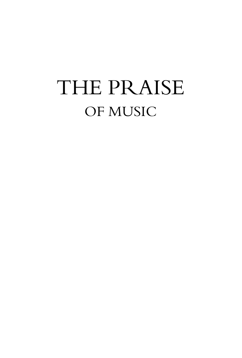# THE PRAISE OF MUSIC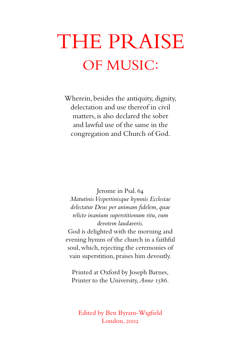# THE PRAISE OF MUSIC:

Wherein, besides the antiquity, dignity, delectation and use thereof in civil matters, is also declared the sober and lawful use of the same in the congregation and Church of God.

Jerome in Psal. 64

*Matutinis Vespertinisque hymnis Ecclesiae delectatur Deus per animam fidelem, quae relicto inanium superstitionum ritu, eum devotem laudaveris.*

God is delighted with the morning and evening hymns of the church in a faithful soul, which, rejecting the ceremonies of vain superstition, praises him devoutly.

Printed at Oxford by Joseph Barnes, Printer to the University,*Anno* 1586.

Edited by Ben Byram-Wigfield London, 2002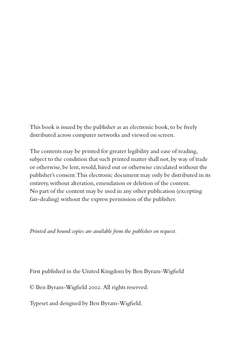This book is issued by the publisher as an electronic book, to be freely distributed across computer networks and viewed on screen.

The contents may be printed for greater legibility and ease of reading, subject to the condition that such printed matter shall not, by way of trade or otherwise, be lent, resold, hired out or otherwise circulated without the publisher's consent.This electronic document may only be distributed in its entirety,without alteration,emendation or deletion of the content. No part of the content may be used in any other publication (excepting fair-dealing) without the express permission of the publisher.

*Printed and bound copies are available from the publisher on request.*

First published in the United Kingdom by Ben Byram-Wigfield

© Ben Byram-Wigfield 2002. All rights reserved.

Typeset and designed by Ben Byram-Wigfield.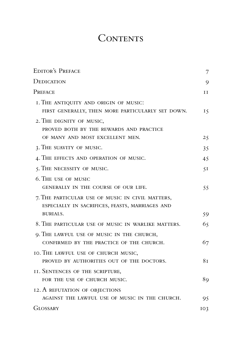## **CONTENTS**

| <b>EDITOR'S PREFACE</b>                                                                                         | 7              |
|-----------------------------------------------------------------------------------------------------------------|----------------|
| Dedication                                                                                                      | 9              |
| PREFACE                                                                                                         | 11             |
| I. THE ANTIQUITY AND ORIGIN OF MUSIC:<br>FIRST GENERALLY, THEN MORE PARTICULARLY SET DOWN.                      | 15             |
| 2. THE DIGNITY OF MUSIC,<br>PROVED BOTH BY THE REWARDS AND PRACTICE                                             |                |
| OF MANY AND MOST EXCELLENT MEN.                                                                                 | 25             |
| 3. THE SUAVITY OF MUSIC.                                                                                        | 35             |
| 4. THE EFFECTS AND OPERATION OF MUSIC.                                                                          | 45             |
| 5. THE NECESSITY OF MUSIC.                                                                                      | 5I             |
| 6. THE USE OF MUSIC<br>GENERALLY IN THE COURSE OF OUR LIFE.                                                     | 55             |
| 7. THE PARTICULAR USE OF MUSIC IN CIVIL MATTERS,<br>ESPECIALLY IN SACRIFICES, FEASTS, MARRIAGES AND<br>BURIALS. | 59             |
| 8. THE PARTICULAR USE OF MUSIC IN WARLIKE MATTERS.                                                              | 65             |
|                                                                                                                 |                |
| 9. THE LAWFUL USE OF MUSIC IN THE CHURCH,<br>CONFIRMED BY THE PRACTICE OF THE CHURCH.                           | 67             |
| IO. THE LAWFUL USE OF CHURCH MUSIC,<br>PROVED BY AUTHORITIES OUT OF THE DOCTORS.                                | 8 <sub>T</sub> |
| II. SENTENCES OF THE SCRIPTURE,<br>FOR THE USE OF CHURCH MUSIC.                                                 | 89             |
| 12. A REFUTATION OF OBJECTIONS                                                                                  |                |
| AGAINST THE LAWFUL USE OF MUSIC IN THE CHURCH.                                                                  | 95             |
| <b>GLOSSARY</b>                                                                                                 | IO3            |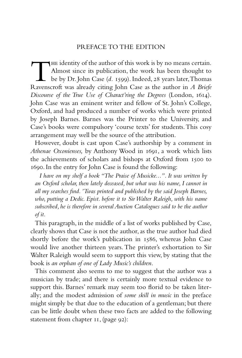## PREFACE TO THE EDITION

The identity of the author of this work is by no means certain. Almost since its publication, the work has been thought to be by Dr. John Case (*d.* 1599). Indeed, 28 years later,Thomas Ravenscroft was already citing John Case as the author in *A Briefe Discourse of the True Use of Charact'ring the Degrees* (London, 1614). John Case was an eminent writer and fellow of St. John's College, Oxford, and had produced a number of works which were printed by Joseph Barnes. Barnes was the Printer to the University, and Case's books were compulsory 'course texts' for students.This cosy arrangement may well be the source of the attribution.

However, doubt is cast upon Case's authorship by a comment in *Athenae Oxonienses,* by Anthony Wood in 1691, a work which lists the achievements of scholars and bishops at Oxford from 1500 to 1690. In the entry for John Case is found the following:

*I have on my shelf a book "The Praise of Musicke...". It was written by an Oxford scholar, then lately deceased, but what was his name, I cannot in all my searches find. 'Twas printed and published by the said Joseph Barnes, who, putting a Dedic. Epist. before it to Sir Walter Raleigh, with his name subscribed, he is therefore in several Auction Catalogues said to be the author of it.*

This paragraph, in the middle of a list of works published by Case, clearly shows that Case is not the author, as the true author had died shortly before the work's publication in 1586, whereas John Case would live another thirteen years. The printer's exhortation to Sir Walter Raleigh would seem to support this view, by stating that the book is *an orphan of one of Lady Music's children*.

This comment also seems to me to suggest that the author was a musician by trade; and there is certainly more textual evidence to support this. Barnes' remark may seem too florid to be taken literally; and the modest admission of *some skill in music* in the preface might simply be that due to the education of a gentleman; but there can be little doubt when these two facts are added to the following statement from chapter 11, (page 92):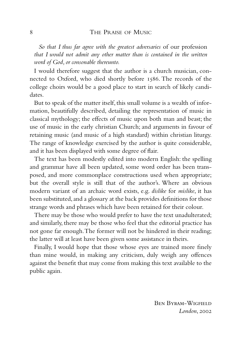*So that I thus far agree with the greatest adversaries* of our profession *that I would not admit any other matter than is contained in the written word of God, or consonable thereunto.*

I would therefore suggest that the author is a church musician, connected to Oxford, who died shortly before 1586. The records of the college choirs would be a good place to start in search of likely candidates.

But to speak of the matter itself, this small volume is a wealth of information, beautifully described, detailing the representation of music in classical mythology; the effects of music upon both man and beast; the use of music in the early christian Church; and arguments in favour of retaining music (and music of a high standard) within christian liturgy. The range of knowledge exercised by the author is quite considerable, and it has been displayed with some degree of flair.

The text has been modestly edited into modern English: the spelling and grammar have all been updated, some word order has been transposed, and more commonplace constructions used when appropriate; but the overall style is still that of the author's. Where an obvious modern variant of an archaic word exists, e.g. *dislike* for *mislike*, it has been substituted, and a glossary at the back provides definitions for those strange words and phrases which have been retained for their colour.

There may be those who would prefer to have the text unadulterated; and similarly, there may be those who feel that the editorial practice has not gone far enough.The former will not be hindered in their reading; the latter will at least have been given some assistance in theirs.

Finally, I would hope that those whose eyes are trained more finely than mine would, in making any criticism, duly weigh any offences against the benefit that may come from making this text available to the public again.

> Ben Byram-Wigfield *London*, 2002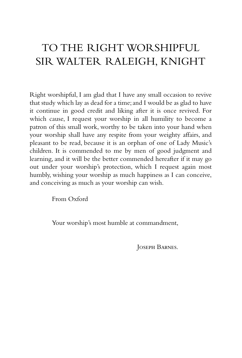## TO THE RIGHT WORSHIPFUL SIR WALTER RALEIGH, KNIGHT

Right worshipful, I am glad that I have any small occasion to revive that study which lay as dead for a time; and I would be as glad to have it continue in good credit and liking after it is once revived. For which cause, I request your worship in all humility to become a patron of this small work, worthy to be taken into your hand when your worship shall have any respite from your weighty affairs, and pleasant to be read, because it is an orphan of one of Lady Music's children. It is commended to me by men of good judgment and learning, and it will be the better commended hereafter if it may go out under your worship's protection, which I request again most humbly, wishing your worship as much happiness as I can conceive, and conceiving as much as your worship can wish.

From Oxford

Your worship's most humble at commandment,

Joseph Barnes.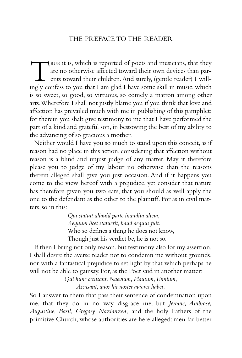## THE PREFACE TO THE READER

TRUE it is, which is reported of poets and musicians, that they are no otherwise affected toward their own devices than parents toward their children. And surely, (gentle reader) I will-<br>ingly confess to you that I am glad are no otherwise affected toward their own devices than parents toward their children.And surely, (gentle reader) I willingly confess to you that I am glad I have some skill in music, which is so sweet, so good, so virtuous, so comely a matron among other arts.Wherefore I shall not justly blame you if you think that love and affection has prevailed much with me in publishing of this pamphlet: for therein you shalt give testimony to me that I have performed the part of a kind and grateful son, in bestowing the best of my ability to the advancing of so gracious a mother.

Neither would I have you so much to stand upon this conceit, as if reason had no place in this action, considering that affection without reason is a blind and unjust judge of any matter. May it therefore please you to judge of my labour no otherwise than the reasons therein alleged shall give you just occasion. And if it happens you come to the view hereof with a prejudice, yet consider that nature has therefore given you two ears, that you should as well apply the one to the defendant as the other to the plaintiff. For as in civil matters, so in this:

> *Qui statuit aliquid parte inaudita altera, Aequum licet statuerit, haud aequus fuit:* Who so defines a thing he does not know, Though just his verdict be, he is not so.

If then I bring not only reason, but testimony also for my assertion, I shall desire the averse reader not to condemn me without grounds, nor with a fantastical prejudice to set light by that which perhaps he will not be able to gainsay. For, as the Poet said in another matter:

> *Qui hunc accusant, Naevium, Plautum, Ennium, Accusant, quos hic noster aviores habet.*

So I answer to them that pass their sentence of condemnation upon me, that they do in no way disgrace me, but *Jerome, Ambrose, Augustine, Basil, Gregory Nazianzen,* and the holy Fathers of the primitive Church, whose authorities are here alleged: men far better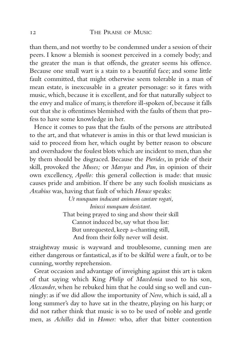than them, and not worthy to be condemned under a session of their peers. I know a blemish is soonest perceived in a comely body; and the greater the man is that offends, the greater seems his offence. Because one small wart is a stain to a beautiful face; and some little fault committed, that might otherwise seem tolerable in a man of mean estate, is inexcusable in a greater personage: so it fares with music, which, because it is excellent, and for that naturally subject to the envy and malice of many, is therefore ill-spoken of, because it falls out that she is oftentimes blemished with the faults of them that profess to have some knowledge in her.

Hence it comes to pass that the faults of the persons are attributed to the art, and that whatever is amiss in this or that lewd musician is said to proceed from her, which ought by better reason to obscure and overshadow the foulest blots which are incident to men, than she by them should be disgraced. Because the *Pierides*, in pride of their skill, provoked the *Muses;* or *Marsyas* and *Pan*, in opinion of their own excellency, *Apollo:* this general collection is made: that music causes pride and ambition. If there be any such foolish musicians as *Arcabius* was, having that fault of which *Horace* speaks:

> *Ut nunquam inducant animum cantare rogati, Iniussi nunquam desistant.* That being prayed to sing and show their skill Cannot induced be, say what thou list: But unrequested, keep a-chanting still, And from their folly never will desist.

straightway music is wayward and troublesome, cunning men are either dangerous or fantastical, as if to be skilful were a fault, or to be cunning, worthy reprehension.

Great occasion and advantage of inveighing against this art is taken of that saying which King *Philip* of *Macedonia* used to his son, *Alexander*, when he rebuked him that he could sing so well and cunningly: as if we did allow the importunity of *Nero*, which is said, all a long summer's day to have sat in the theatre, playing on his harp; or did not rather think that music is so to be used of noble and gentle men, as *Achilles* did in *Homer:* who, after that bitter contention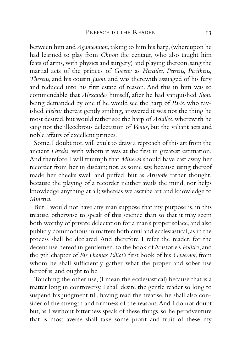between him and *Agamemnon*,taking to him his harp,(whereupon he had learned to play from *Chiron* the centaur, who also taught him feats of arms, with physics and surgery) and playing thereon, sang the martial acts of the princes of *Greece:* as *Hercules, Perseus, Peritheus, Theseus,* and his cousin *Jason*, and was therewith assuaged of his fury and reduced into his first estate of reason. And this in him was so commendable that *Alexander* himself, after he had vanquished *Ilion*, being demanded by one if he would see the harp of *Paris*, who ravished *Helen:* thereat gently smiling, answered it was not the thing he most desired, but would rather see the harp of *Achilles*, wherewith he sang not the illecebrous delectation of *Venus*, but the valiant acts and noble affairs of excellent princes.

Some,I doubt not,will exult to draw a reproach of this art from the ancient *Greeks*, with whom it was at the first in greatest estimation. And therefore I will triumph that *Minerva* should have cast away her recorder from her in disdain; not, as some say, because using thereof made her cheeks swell and puffed, but as *Aristotle* rather thought, because the playing of a recorder neither avails the mind, nor helps knowledge anything at all; whereas we ascribe art and knowledge to *Minerva*.

But I would not have any man suppose that my purpose is, in this treatise, otherwise to speak of this science than so that it may seem both worthy of private delectation for a man's proper solace, and also publicly commodious in matters both civil and ecclesiastical,as in the process shall be declared. And therefore I refer the reader, for the decent use hereof in gentlemen,to the book of Aristotle's *Politics*,and the 7th chapter of *Sir Thomas Elliot's* first book of his *Governor*, from whom he shall sufficiently gather what the proper and sober use hereof is, and ought to be.

Touching the other use, (I mean the ecclesiastical) because that is a matter long in controversy, I shall desire the gentle reader so long to suspend his judgment till, having read the treatise, he shall also consider of the strength and firmness of the reasons.And I do not doubt but, as I without bitterness speak of these things, so he peradventure that is most averse shall take some profit and fruit of these my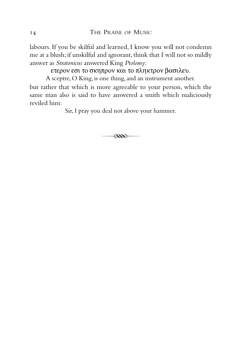labours. If you be skilful and learned, I know you will not condemn me at a blush; if unskilful and ignorant, think that I will not so mildly answer as *Stratonicus* answered King *Ptolomy:*

ετερον εσι το σκηπρον και το πληκτρον βασιλευ.

A sceptre, O King, is one thing, and an instrument another.

but rather that which is more agreeable to your person, which the same man also is said to have answered a smith which maliciously reviled him:

Sir, I pray you deal not above your hammer.

 $\overline{\alpha}$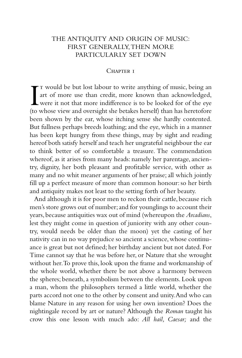## THE ANTIQUITY AND ORIGIN OF MUSIC: FIRST GENERALLY,THEN MORE PARTICULARLY SET DOWN

#### CHAPTER I

I T would be but lost labour to write anything of music, being an art of more use than credit, more known than acknowledged, were it not that more indifference is to be looked for of the eye (to whose view and oversight sh art of more use than credit, more known than acknowledged, were it not that more indifference is to be looked for of the eye (to whose view and oversight she betakes herself) than has heretofore been shown by the ear, whose itching sense she hardly contented. But fullness perhaps breeds loathing; and the eye, which in a manner has been kept hungry from these things, may by sight and reading hereof both satisfy herself and teach her ungrateful neighbour the ear to think better of so comfortable a treasure. The commendation whereof, as it arises from many heads: namely her parentage, ancientry, dignity, her both pleasant and profitable service, with other as many and no whit meaner arguments of her praise; all which jointly fill up a perfect measure of more than common honour: so her birth and antiquity makes not least to the setting forth of her beauty.

And although it is for poor men to reckon their cattle, because rich men's store grows out of number; and for younglings to account their years,because antiquities wax out of mind (whereupon the *Arcadians*, lest they might come in question of juniority with any other country, would needs be older than the moon) yet the casting of her nativity can in no way prejudice so ancient a science,whose continuance is great but not defined; her birthday ancient but not dated. For Time cannot say that he was before her, or Nature that she wrought without her.To prove this, look upon the frame and workmanship of the whole world, whether there be not above a harmony between the spheres; beneath, a symbolism between the elements. Look upon a man, whom the philosophers termed a little world, whether the parts accord not one to the other by consent and unity.And who can blame Nature in any reason for using her own invention? Does the nightingale record by art or nature? Although the *Roman* taught his crow this one lesson with much ado: *All hail, Caesar;* and the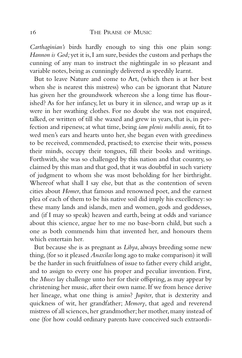*Carthaginian's* birds hardly enough to sing this one plain song: *Hannon is God;* yet it is, I am sure, besides the custom and perhaps the cunning of any man to instruct the nightingale in so pleasant and variable notes, being as cunningly delivered as speedily learnt.

But to leave Nature and come to Art, (which then is at her best when she is nearest this mistress) who can be ignorant that Nature has given her the groundwork whereon she a long time has flourished? As for her infancy, let us bury it in silence, and wrap up as it were in her swathing clothes. For no doubt she was not enquired, talked, or written of till she waxed and grew in years, that is, in perfection and ripeness; at what time, being *iam plenis nubilis annis,* fit to wed men's ears and hearts unto her, she began even with greediness to be received, commended, practised; to exercise their wits, possess their minds, occupy their tongues, fill their books and writings. Forthwith, she was so challenged by this nation and that country, so claimed by this man and that god, that it was doubtful in such variety of judgment to whom she was most beholding for her birthright. Whereof what shall I say else, but that as the contention of seven cities about *Homer*, that famous and renowned poet, and the earnest plea of each of them to be his native soil did imply his excellency: so these many lands and islands, men and women, gods and goddesses, and (if I may so speak) heaven and earth, being at odds and variance about this science, argue her to me no base-born child, but such a one as both commends him that invented her, and honours them which entertain her.

But because she is as pregnant as *Libya*, always breeding some new thing,(for so it pleased *Anaxilas* long ago to make comparison) it will be the harder in such fruitfulness of issue to father every child aright, and to assign to every one his proper and peculiar invention. First, the *Muses* lay challenge unto her for their offspring, as may appear by christening her music, after their own name. If we from hence derive her lineage, what one thing is amiss? *Jupiter*, that is dexterity and quickness of wit, her grandfather; *Memory*, that aged and reverend mistress of all sciences, her grandmother; her mother, many instead of one (for how could ordinary parents have conceived such extraordi-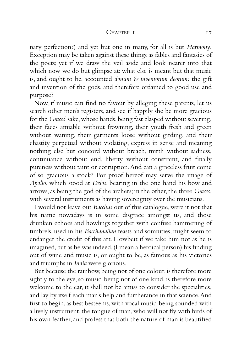#### CHAPTER I 17

nary perfection?) and yet but one in many, for all is but *Harmony*. Exception may be taken against these things as fables and fantasies of the poets; yet if we draw the veil aside and look nearer into that which now we do but glimpse at: what else is meant but that music is, and ought to be, accounted *donum & inventorum deorum:* the gift and invention of the gods, and therefore ordained to good use and purpose?

Now, if music can find no favour by alleging these parents, let us search other men's registers, and see if happily she be more gracious for the *Graces*' sake, whose hands, being fast clasped without severing, their faces amiable without frowning, their youth fresh and green without waning, their garments loose without girding, and their chastity perpetual without violating, express in sense and meaning nothing else but concord without breach, mirth without sadness, continuance without end, liberty without constraint, and finally pureness without taint or corruption.And can a graceless fruit come of so gracious a stock? For proof hereof may serve the image of *Apollo*, which stood at *Delos*, bearing in the one hand his bow and arrows, as being the god of the archers; in the other, the three *Graces*, with several instruments as having sovereignty over the musicians.

I would not leave out *Bacchus* out of this catalogue, were it not that his name nowadays is in some disgrace amongst us, and those drunken echoes and howlings together with confuse hammering of timbrels, used in his *Bacchanalian* feasts and somnities, might seem to endanger the credit of this art. Howbeit if we take him not as he is imagined, but as he was indeed, (I mean a heroical person) his finding out of wine and music is, or ought to be, as famous as his victories and triumphs in *India* were glorious.

But because the rainbow, being not of one colour, is therefore more sightly to the eye, so music, being not of one kind, is therefore more welcome to the ear, it shall not be amiss to consider the specialities, and lay by itself each man's help and furtherance in that science.And first to begin, as best besteems, with vocal music, being sounded with a lively instrument, the tongue of man, who will not fly with birds of his own feather, and profess that both the nature of man is beautified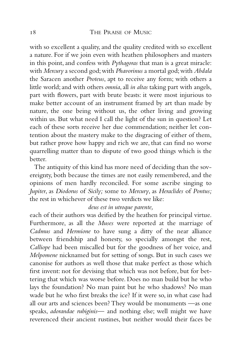with so excellent a quality, and the quality credited with so excellent a nature. For if we join even with heathen philosophers and masters in this point, and confess with *Pythagoras* that man is a great miracle: with *Mercury* a second god;with *Phavorinus* a mortal god;with *Abdala* the Saracen another *Proteus*, apt to receive any form; with others a little world; and with others *omnia*, all *in altas* taking part with angels, part with flowers, part with brute beasts: it were most injurious to make better account of an instrument framed by art than made by nature, the one being without us, the other living and growing within us. But what need I call the light of the sun in question? Let each of these sorts receive her due commendation; neither let contention about the mastery make to the disgracing of either of them, but rather prove how happy and rich we are, that can find no worse quarrelling matter than to dispute of two good things which is the better.

The antiquity of this kind has more need of deciding than the sovereignty, both because the times are not easily remembered, and the opinions of men hardly reconciled. For some ascribe singing to *Jupiter*, as *Diodorus* of *Sicily;* some to *Mercury*, as *Heraclides* of *Pontus;* the rest in whichever of these two verdicts we like:

## *deus est in utroque parente,*

each of their authors was deified by the heathen for principal virtue. Furthermore, as all the *Muses* were reported at the marriage of *Cadmus* and *Hermione* to have sung a ditty of the near alliance between friendship and honesty, so specially amongst the rest, *Calliope* had been miscalled but for the goodness of her voice, and *Melpomene* nicknamed but for setting of songs. But in such cases we canonise for authors as well those that make perfect as those which first invent: not for devising that which was not before, but for bettering that which was worse before. Does no man build but he who lays the foundation? No man paint but he who shadows? No man wade but he who first breaks the ice? If it were so, in what case had all our arts and sciences been? They would be monuments —as one speaks, *adorandae rubiginis—* and nothing else; well might we have reverenced their ancient rustines, but neither would their faces be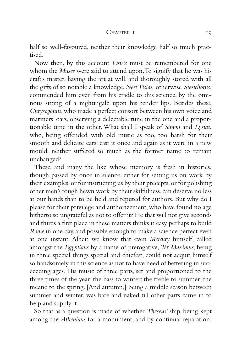#### CHAPTER I 19

half so well-favoured, neither their knowledge half so much practised.

Now then, by this account *Osiris* must be remembered for one whom the *Muses* were said to attend upon.To signify that he was his craft's master, having the art at will, and thoroughly stored with all the gifts of so notable a knowledge, *Nert Tisias,* otherwise *Stesichorus*, commended him even from his cradle to this science, by the ominous sitting of a nightingale upon his tender lips. Besides these, *Chrysogonus*, who made a perfect consort between his own voice and mariners' oars, observing a delectable tune in the one and a proportionable time in the other.What shall I speak of *Simon* and *Lysias*, who, being offended with old music as too, too harsh for their smooth and delicate ears, cast it once and again as it were in a new mould, neither suffered so much as the former name to remain unchanged?

These, and many the like whose memory is fresh in histories, though passed by once in silence, either for setting us on work by their examples,or for instructing us by their precepts,or for polishing other men's rough hewn work by their skilfulness, can deserve no less at our hands than to be held and reputed for authors. But why do I please for their privilege and authorizement, who have found no age hitherto so ungrateful as not to offer it? He that will not give seconds and thirds a first place in these matters thinks it easy perhaps to build *Rome* in one day, and possible enough to make a science perfect even at one instant. Albeit we know that even *Mercury* himself, called amongst the *Egyptians* by a name of prerogative, *Ter Maximus*, being in three special things special and chiefest, could not acquit himself so handsomely in this science as not to have need of bettering in succeeding ages. His music of three parts, set and proportioned to the three times of the year: the bass to winter; the treble to summer; the meane to the spring. [And autumn,] being a middle season between summer and winter, was bare and naked till other parts came in to help and supply it.

So that as a question is made of whether *Theseus*' ship, being kept among the *Athenians* for a monument, and by continual reparation,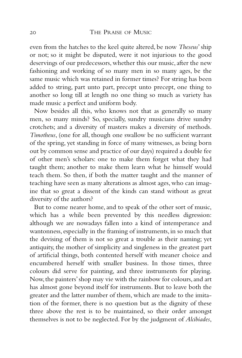even from the hatches to the keel quite altered, be now *Theseus*' ship or not; so it might be disputed, were it not injurious to the good deservings of our predecessors, whether this our music, after the new fashioning and working of so many men in so many ages, be the same music which was retained in former times? For string has been added to string, part unto part, precept unto precept, one thing to another so long till at length no one thing so much as variety has made music a perfect and uniform body.

Now besides all this, who knows not that as generally so many men, so many minds? So, specially, sundry musicians drive sundry crotchets; and a diversity of masters makes a diversity of methods. *Timotheus*, (one for all, though one swallow be no sufficient warrant of the spring, yet standing in force of many witnesses, as being born out by common sense and practice of our days) required a double fee of other men's scholars: one to make them forget what they had taught them; another to make them learn what he himself would teach them. So then, if both the matter taught and the manner of teaching have seen as many alterations as almost ages, who can imagine that so great a dissent of the kinds can stand without as great diversity of the authors?

But to come nearer home, and to speak of the other sort of music, which has a while been prevented by this needless digression: although we are nowadays fallen into a kind of intemperance and wantonness, especially in the framing of instruments, in so much that the devising of them is not so great a trouble as their naming; yet antiquity, the mother of simplicity and singleness in the greatest part of artificial things, both contented herself with meaner choice and encumbered herself with smaller business. In those times, three colours did serve for painting, and three instruments for playing. Now,the painters'shop may vie with the rainbow for colours,and art has almost gone beyond itself for instruments. But to leave both the greater and the latter number of them, which are made to the imitation of the former, there is no question but as the dignity of these three above the rest is to be maintained, so their order amongst themselves is not to be neglected. For by the judgment of *Alcibiades*,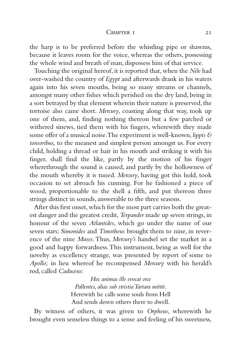#### $CHAPTER I$  21

the harp is to be preferred before the whistling pipe or shawms, because it leaves room for the voice, whereas the others, possessing the whole wind and breath of man, dispossess him of that service.

Touching the original hereof, it is reported that, when the *Nile* had over-washed the country of *Egypt* and afterwards drank in his waters again into his seven mouths, being so many streams or channels, amongst many other fishes which perished on the dry land, being in a sort betrayed by that element wherein their nature is preserved, the tortoise also came short. *Mercury*, coasting along that way, took up one of them, and, finding nothing thereon but a few parched or withered sinews, tied them with his fingers, wherewith they made some offer of a musical noise.The experiment is well-known,*lippis & tonsoribus,* to the meanest and simplest person amongst us. For every child, holding a thread or hair in his mouth and striking it with his finger, shall find the like, partly by the motion of his finger wherethrough the sound is caused, and partly by the hollowness of the mouth whereby it is tuned. *Mercury*, having got this hold, took occasion to set abroach his cunning. For he fashioned a piece of wood, proportionable to the shell a fifth, and put thereon three strings distinct in sounds, answerable to the three seasons.

After this first onset,which for the most part carries both the greatest danger and the greatest credit,*Terpander* made up seven strings, in honour of the seven *Atlantides*, which go under the name of our seven stars; *Simonides* and *Timotheus* brought them to nine, in reverence of the nine *Muses*.Thus, *Mercury's* handsel set the market in a good and happy forwardness.This instrument, being as well for the novelty as excellency strange, was presented by report of some to *Apollo;* in lieu whereof he recompensed *Mercury* with his herald's rod, called *Caduceus*:

> *Hoc animas ille evocat orce Pallentes, alias sub stristia Tartara mittit.* Herewith he calls some souls from Hell And sends down others there to dwell.

By witness of others, it was given to *Orpheus*, wherewith he brought even senseless things to a sense and feeling of his sweetness,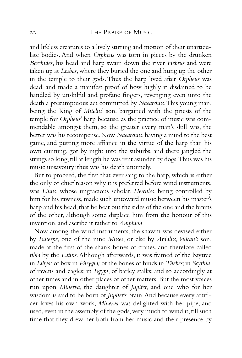and lifeless creatures to a lively stirring and motion of their unarticulate bodies. And when *Orpheus* was torn in pieces by the drunken *Bacchides*, his head and harp swam down the river *Hebrus* and were taken up at *Lesbos*, where they buried the one and hung up the other in the temple to their gods. Thus the harp lived after *Orpheus* was dead, and made a manifest proof of how highly it disdained to be handled by unskilful and profane fingers, revenging even unto the death a presumptuous act committed by *Naearchus*.This young man, being the King of *Mitelus*' son, bargained with the priests of the temple for *Orpheus*' harp because, as the practice of music was commendable amongst them, so the greater every man's skill was, the better was his recompense. Now *Naearchus*, having a mind to the best game, and putting more affiance in the virtue of the harp than his own cunning, got by night into the suburbs, and there jangled the strings so long, till at length he was rent asunder by dogs. Thus was his music unsavoury; thus was his death untimely.

But to proceed, the first that ever sang to the harp, which is either the only or chief reason why it is preferred before wind instruments, was *Linus*, whose ungracious scholar, *Hercules*, being controlled by him for his rawness, made such untoward music between his master's harp and his head, that he beat out the sides of the one and the brains of the other, although some displace him from the honour of this invention, and ascribe it rather to *Amphion*.

Now among the wind instruments, the shawm was devised either by *Euterpe*, one of the nine *Muses*, or else by *Ardalus, Vulcan's* son, made at the first of the shank bones of cranes, and therefore called *tibia* by the *Latins*.Although afterwards, it was framed of the baytree in *Libya;* of box in *Phrygia;* of the bones of hinds in *Thebes;*in *Scythia*, of ravens and eagles; in *Egypt*, of barley stalks; and so accordingly at other times and in other places of other matters. But the most voices run upon *Minerva*, the daughter of *Jupiter*, and one who for her wisdom is said to be born of *Jupiter's* brain.And because every artificer loves his own work, *Minerva* was delighted with her pipe, and used, even in the assembly of the gods, very much to wind it, till such time that they drew her both from her music and their presence by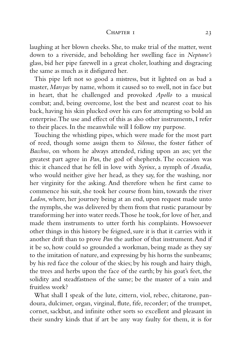#### CHAPTER I 23

laughing at her blown cheeks. She, to make trial of the matter, went down to a riverside, and beholding her swelling face in *Neptune's* glass, bid her pipe farewell in a great choler, loathing and disgracing the same as much as it disfigured her.

This pipe left not so good a mistress, but it lighted on as bad a master, *Marsyas* by name, whom it caused so to swell, not in face but in heart, that he challenged and provoked *Apollo* to a musical combat; and, being overcome, lost the best and nearest coat to his back, having his skin plucked over his ears for attempting so bold an enterprise.The use and effect of this as also other instruments, I refer to their places. In the meanwhile will I follow my purpose.

Touching the whistling pipes, which were made for the most part of reed, though some assign them to *Silenus*, the foster father of *Bacchus*, on whom he always attended, riding upon an ass; yet the greatest part agree in *Pan*, the god of shepherds. The occasion was this: it chanced that he fell in love with *Syrinx*, a nymph of *Arcadia*, who would neither give her head, as they say, for the washing, nor her virginity for the asking. And therefore when he first came to commence his suit, she took her course from him, towards the river *Ladon*, where, her journey being at an end, upon request made unto the nymphs, she was delivered by them from that rustic paramour by transforming her into water reeds.Those he took, for love of her, and made them instruments to utter forth his complaints. Howsoever other things in this history be feigned, sure it is that it carries with it another drift than to prove *Pan* the author of that instrument.And if it be so, how could so grounded a workman, being made as they say to the imitation of nature, and expressing by his horns the sunbeams; by his red face the colour of the skies; by his rough and hairy thigh, the trees and herbs upon the face of the earth; by his goat's feet, the solidity and steadfastness of the same; be the master of a vain and fruitless work?

What shall I speak of the lute, cittern, viol, rebec, chitarone, pandoura, dulcimer, organ, virginal, flute, fife, recorder; of the trumpet, cornet, sackbut, and infinite other sorts so excellent and pleasant in their sundry kinds that if art be any way faulty for them, it is for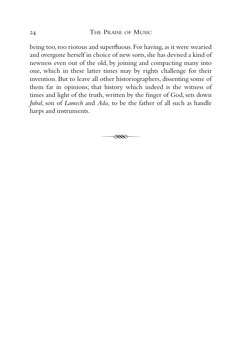being too, too riotous and superfluous. For having, as it were wearied and overgone herself in choice of new sorts, she has devised a kind of newness even out of the old, by joining and compacting many into one, which in these latter times may by rights challenge for their invention. But to leave all other historiographers, dissenting some of them far in opinions; that history which indeed is the witness of times and light of the truth, written by the finger of God, sets down *Jubal*, son of *Lamech* and *Ada,* to be the father of all such as handle harps and instruments.

 $\overline{\mathscr{R}}$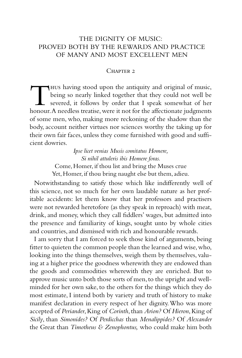## THE DIGNITY OF MUSIC: PROVED BOTH BY THE REWARDS AND PRACTICE OF MANY AND MOST EXCELLENT MEN

## CHAPTER<sub>2</sub>

Thus having stood upon the antiquity and original of music,<br>being so nearly linked together that they could not well be<br>severed, it follows by order that I speak somewhat of her<br>honour. A needless treatise, were it not for being so nearly linked together that they could not well be severed, it follows by order that I speak somewhat of her honour. A needless treatise, were it not for the affectionate judgments of some men, who, making more reckoning of the shadow than the body, account neither virtues nor sciences worthy the taking up for their own fair faces, unless they come furnished with good and sufficient dowries.

> *Ipse licet venias Musis comitatus Homere, Si nihil attuleris ibis Homere foras.* Come, Homer, if thou list and bring the Muses crue Yet, Homer, if thou bring naught else but them, adieu.

Notwithstanding to satisfy those which like indifferently well of this science, not so much for her own laudable nature as her profitable accidents: let them know that her professors and practisers were not rewarded heretofore (as they speak in reproach) with meat, drink, and money, which they call fiddlers' wages, but admitted into the presence and familiarity of kings, sought unto by whole cities and countries, and dismissed with rich and honourable rewards.

I am sorry that I am forced to seek those kind of arguments, being fitter to quieten the common people than the learned and wise,who, looking into the things themselves, weigh them by themselves, valuing at a higher price the goodness wherewith they are endowed than the goods and commodities wherewith they are enriched. But to approve music unto both those sorts of men, to the upright and wellminded for her own sake, to the others for the things which they do most estimate, I intend both by variety and truth of history to make manifest declaration in every respect of her dignity.Who was more accepted of *Periander*,King of *Corinth*,than *Arion?* Of *Hieron*,King of *Sicily*, than *Simonides?* Of *Perdicchas* than *Menalippides?* Of *Alexander* the Great than *Timotheus & Zenophontus,* who could make him both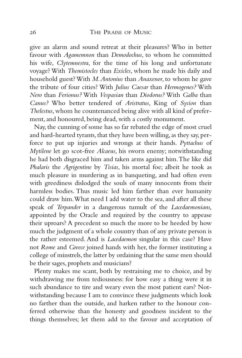## 26 THE PRAISE OF MUSIC

give an alarm and sound retreat at their pleasures? Who in better favour with *Agamemnon* than *Demodochus*, to whom he committed his wife, *Clytemnestra*, for the time of his long and unfortunate voyage? With *Themistocles* than *Exicles*, whom he made his daily and household guest? With *M.Antonius* than *Anaxenor*, to whom he gave the tribute of four cities? With *Julius Caesar* than *Hermogenes?* With *Nero* than *Ferionus?* With *Vespasian* than *Diodorus?* With *Galba* than *Canus?* Who better tendered of *Aristratus*, King of *Sycion* than *Thelestus*, whom he countenanced being alive with all kind of preferment, and honoured, being dead, with a costly monument.

Nay, the cunning of some has so far rebated the edge of most cruel and hard-hearted tyrants, that they have been willing, as they say, perforce to put up injuries and wrongs at their hands. *Pyttachus* of *Mytilene* let go scot-free *Alcaeus*, his sworn enemy; notwithstanding he had both disgraced him and taken arms against him.The like did *Phalaris* the *Agrigentine* by *Tisias*, his mortal foe; albeit he took as much pleasure in murdering as in banqueting, and had often even with greediness dislodged the souls of many innocents from their harmless bodies. Thus music led him farther than ever humanity could draw him.What need I add water to the sea, and after all these speak of *Terpander* in a dangerous tumult of the *Lacedaemonians,* appointed by the Oracle and required by the country to appease their uproars? A precedent so much the more to be heeded by how much the judgment of a whole country than of any private person is the rather esteemed. And is *Lacedaemon* singular in this case? Have not *Rome* and *Greece* joined hands with her, the former instituting a college of minstrels, the latter by ordaining that the same men should be their sages, prophets and musicians?

Plenty makes me scant, both by restraining me to choice, and by withdrawing me from tediousness: for how easy a thing were it in such abundance to tire and weary even the most patient ears? Notwithstanding because I am to convince these judgments which look no farther than the outside, and harken rather to the honour conferred otherwise than the honesty and goodness incident to the things themselves; let them add to the favour and acceptation of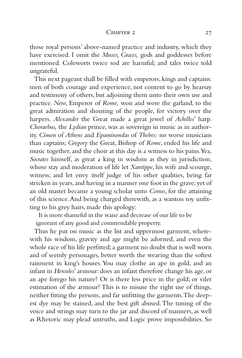#### CHAPTER 2 27

those royal persons' above-named practice and industry, which they have exercised. I omit the *Muses, Graces,* gods and goddesses before mentioned. Coleworts twice sod are harmful; and tales twice told ungrateful.

This next pageant shall be filled with emperors, kings and captains: men of both courage and experience, not content to go by hearsay and testimony of others, but adjoining them unto their own use and practice. *Nero*, Emperor of *Rome,* won and wore the garland, to the great admiration and shouting of the people, for victory over the harpers. *Alexander* the Great made a great jewel of *Achilles*' harp. *Choraebus,* the *Lydian* prince, was as sovereign in music as in authority. *Cimon* of *Athens* and *Epaminondas* of *Thebes:* no worse musicians than captains; *Gregory* the Great, Bishop of *Rome*, ended his life and music together, and the choir at this day is a witness to his pains.Yea, *Socrates* himself, as great a king in wisdom as they in jurisdiction, whose stay and moderation of life let *Xantippe*, his wife and scourge, witness; and let envy itself judge of his other qualities, being far stricken in years, and having in a manner one foot in the grave; yet of an old master became a young scholar unto *Conus*, for the attaining of this science.And being charged therewith, as a wanton toy unfitting to his grey hairs, made this apology:

It is more shameful in the wane and decrease of our life to be

ignorant of any good and commendable property.

Thus he put on music as the list and uppermost garment, wherewith his wisdom, gravity and age might be adorned, and even the whole race of his life perfitted; a garment no doubt that is well worn and of seemly personages, better worth the wearing than the softest rainment in king's houses.You may clothe an ape in gold, and an infant in *Hercules*' armour: does an infant therefore change his age, or an ape forego his nature? Or is there less price in the gold; or viler estimation of the armour? This is to misuse the right use of things, neither fitting the persons, and far unfitting the garments.The deepest dye may be stained, and the best gift abused.The tuning of the voice and strings may turn to the jar and discord of manners, as well as Rhetoric may plead untruths, and Logic prove impossibilities. So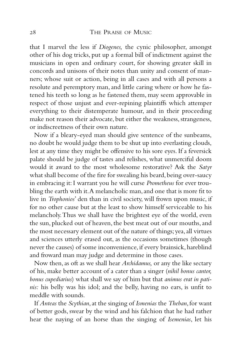#### 28 THE PRAISE OF MUSIC

that I marvel the less if *Diogenes,* the cynic philosopher, amongst other of his dog tricks, put up a formal bill of indictment against the musicians in open and ordinary court, for showing greater skill in concords and unisons of their notes than unity and consent of manners; whose suit or action, being in all cases and with all persons a resolute and peremptory man, and little caring where or how he fastened his teeth so long as he fastened them, may seem approvable in respect of those unjust and ever-repining plaintiffs which attemper everything to their distemperate humour, and in their proceeding make not reason their advocate, but either the weakness, strangeness, or indiscreetness of their own nature.

Now if a bleary-eyed man should give sentence of the sunbeams, no doubt he would judge them to be shut up into everlasting clouds, lest at any time they might be offensive to his sore eyes. If a feversick palate should be judge of tastes and relishes, what unmerciful doom would it award to the most wholesome restorative? Ask the *Satyr* what shall become of the fire for swealing his beard, being over-saucy in embracing it: I warrant you he will curse *Prometheus* for ever troubling the earth with it. A melancholic man, and one that is more fit to live in *Trophonios*' den than in civil society, will frown upon music, if for no other cause but at the least to show himself serviceable to his melancholy.Thus we shall have the brightest eye of the world, even the sun, plucked out of heaven, the best meat out of our mouths, and the most necessary element out of the nature of things;yea,all virtues and sciences utterly erased out, as the occasions sometimes (though never the causes) of some inconvenience, if every brainsick, hareblind and froward man may judge and determine in those cases.

Now then, as oft as we shall hear *Archidamus,* or any the like sectary of his, make better account of a cater than a singer (*nihil bonus cantor, bonus cupediarius*) what shall we say of him but that *animus erat in patinis:* his belly was his idol; and the belly, having no ears, is unfit to meddle with sounds.

If *Anteas* the *Scythian*, at the singing of *Ismenias* the *Theban*, for want of better gods, swear by the wind and his falchion that he had rather hear the naying of an horse than the singing of *Isemenias*, let his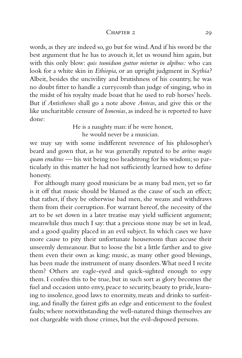#### CHAPTER 2 20

words, as they are indeed so, go but for wind.And if his sword be the best argument that he has to avouch it, let us wound him again, but with this only blow: *quis tumidum guttur miretur in alpibus:* who can look for a white skin in *Ethiopia*, or an upright judgment in *Scythia?* Albeit, besides the uncivility and brutishness of his country, he was no doubt fitter to handle a currycomb than judge of singing, who in the midst of his royalty made boast that he used to rub horses' heels. But if *Antisthenes* shall go a note above *Anteas*, and give this or the like uncharitable censure of *Ismenias*, as indeed he is reported to have done:

> He is a naughty man: if he were honest, he would never be a musician.

we may say with some indifferent reverence of his philosopher's beard and gown that, as he was generally reputed to be *avitus magis quam eruditus* — his wit being too headstrong for his wisdom; so particularly in this matter he had not sufficiently learned how to define honesty.

For although many good musicians be as many bad men, yet so far is it off that music should be blamed as the cause of such an effect; that rather, if they be otherwise bad men, she weans and withdraws them from their corruption. For warrant hereof, the necessity of the art to be set down in a later treatise may yield sufficient argument; meanwhile thus much I say: that a precious stone may be set in lead, and a good quality placed in an evil subject. In which cases we have more cause to pity their unfortunate houseroom than accuse their unseemly demeanour. But to loose the bit a little farther and to give them even their own as king: music, as many other good blessings, has been made the instrument of many disorders.What need I recite them? Others are eagle-eyed and quick-sighted enough to espy them. I confess this to be true, but in such sort as glory becomes the fuel and occasion unto envy, peace to security, beauty to pride, learning to insolence, good laws to enormity, meats and drinks to surfeiting, and finally the fairest gifts an edge and enticement to the foulest faults; where notwithstanding the well-natured things themselves are not chargeable with those crimes, but the evil-disposed persons.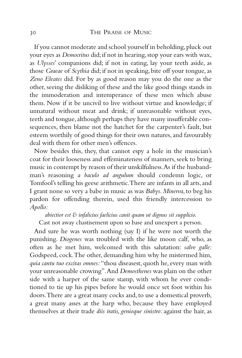If you cannot moderate and school yourself in beholding, pluck out your eyes as *Democritus* did; if not in hearing, stop your ears with wax, as *Ulysses*' companions did; if not in eating, lay your teeth aside, as those *Graeae* of *Scythia* did; if not in speaking, bite off your tongue, as *Zeno Eleates* did. For by as good reason may you do the one as the other, seeing the disliking of these and the like good things stands in the immoderation and intemperance of these men which abuse them. Now if it be uncivil to live without virtue and knowledge; if unnatural without meat and drink; if unreasonable without eyes, teeth and tongue, although perhaps they have many insufferable consequences, then blame not the hatchet for the carpenter's fault, but esteem worthily of good things for their own natures, and favourably deal with them for other men's offences.

Now besides this, they, that cannot espy a hole in the musician's coat for their looseness and effeminateness of manners, seek to bring music in contempt by reason of their unskilfulness.As if the husbandman's reasoning *a baculo ad angulum* should condemn logic, or Tomfool's telling his geese arithmetic. There are infants in all arts, and I grant none so very a babe in music as was *Babys*. *Minerva*, to beg his pardon for offending therein, used this friendly intercession to *Apollo:*

*abiectior est & infalicius faelicius canit quam ut dignus sit supplicio.* Cast not away chastisement upon so base and unexpert a person.

And sure he was worth nothing (say I) if he were not worth the punishing. *Diogenes* was troubled with the like moon calf, who, as often as he met him, welcomed with this salutation: *salve galle:* Godspeed, cock.The other, demanding him why he mistermed him, *quia cantu tuo excitas omnes:* "thou diseasest, quoth he, every man with your unreasonable crowing".And *Demosthenes* was plain on the other side with a harper of the same stamp, with whom he ever conditioned to tie up his pipes before he would once set foot within his doors.There are a great many cocks and, to use a domestical proverb, a great many asses at the harp who, because they have employed themselves at their trade *diis iratis, genioque sinistro:*against the hair, as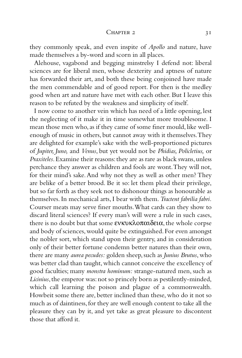#### CHAPTER  $2 \t31$

they commonly speak, and even inspite of *Apollo* and nature, have made themselves a by-word and scorn in all places.

Alehouse, vagabond and begging minstrelsy I defend not: liberal sciences are for liberal men, whose dexterity and aptness of nature has forwarded their art, and both these being conjoined have made the men commendable and of good report. For then is the medley good when art and nature have met with each other. But I leave this reason to be refuted by the weakness and simplicity of itself.

I now come to another vein which has need of a little opening, lest the neglecting of it make it in time somewhat more troublesome. I mean those men who, as if they came of some finer mould, like wellenough of music in others, but cannot away with it themselves.They are delighted for example's sake with the well-proportioned pictures of *Jupiter, Juno,* and *Venus*, but yet would not be *Phidias, Policletius,* or *Praxiteles*. Examine their reasons: they are as rare as black swans, unless perchance they answer as children and fools are wont.They will not, for their mind's sake.And why not they as well as other men? They are belike of a better brood. Be it so: let them plead their privilege, but so far forth as they seek not to dishonour things as honourable as themselves. In mechanical arts, I bear with them.*Tractent fabrilia fabri.* Courser meats may serve finer mouths.What cards can they show to discard literal sciences? If every man's will were a rule in such cases, there is no doubt but that some ενκυκλοπαιδεια, the whole corpse and body of sciences,would quite be extinguished.For even amongst the nobler sort, which stand upon their gentry, and in consideration only of their better fortune condemn better natures than their own, there are many *aurea pecudes:* golden sheep, such as *Junius Brutus*, who was better clad than taught, which cannot conceive the excellency of good faculties; many *monstra hominum:* strange-natured men, such as Licinius, the emperor was: not so princely born as pestilently-minded, which call learning the poison and plague of a commonwealth. Howbeit some there are, better inclined than these, who do it not so much as of daintiness, for they are well enough content to take all the pleasure they can by it, and yet take as great pleasure to discontent those that afford it.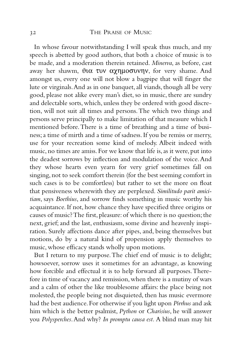In whose favour notwithstanding I will speak thus much, and my speech is abetted by good authors, that both a choice of music is to be made, and a moderation therein retained. *Minerva*, as before, cast away her shawm, θια τυν αχημοσυνην, for very shame. And amongst us, every one will not blow a bagpipe that will finger the lute or virginals.And as in one banquet, all viands, though all be very good, please not alike every man's diet, so in music, there are sundry and delectable sorts, which, unless they be ordered with good discretion, will not suit all times and persons.The which two things and persons serve principally to make limitation of that measure which I mentioned before.There is a time of breathing and a time of business; a time of mirth and a time of sadness. If you be remiss or merry, use for your recreation some kind of melody. Albeit indeed with music, no times are amiss. For we know that life is, as it were, put into the deadest sorrows by inflection and modulation of the voice.And they whose hearts even yearn for very grief sometimes fall on singing, not to seek comfort therein (for the best seeming comfort in such cases is to be comfortless) but rather to set the more on float that pensiveness wherewith they are perplexed. *Similitudo parit amicitiam*, says *Boethius*, and sorrow finds something in music worthy his acquaintance. If not, how chance they have specified three origins or causes of music? The first, pleasure: of which there is no question; the next, grief; and the last, enthusiasm, some divine and heavenly inspiration. Surely affections dance after pipes, and, being themselves but motions, do by a natural kind of propension apply themselves to music, whose efficacy stands wholly upon motions.

But I return to my purpose.The chief end of music is to delight; howsoever, sorrow uses it sometimes for an advantage, as knowing how forcible and effectual it is to help forward all purposes.Therefore in time of vacancy and remission,when there is a mutiny of wars and a calm of other the like troublesome affairs: the place being not molested, the people being not disquieted, then has music evermore had the best audience.For otherwise if you light upon *Pirrhus* and ask him which is the better psalmist, *Python* or *Charisius*, he will answer you *Polysperches*.And why? *In promptu causa est.* A blind man may hit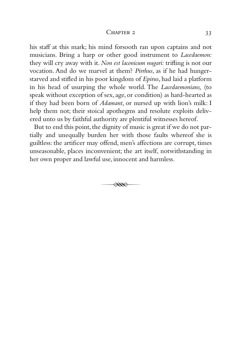#### CHAPTER 2 33

his staff at this mark; his mind forsooth ran upon captains and not musicians. Bring a harp or other good instrument to *Lacedaemon:* they will cry away with it. *Non est laconicum nugari:* trifling is not our vocation. And do we marvel at them? *Pirrhus*, as if he had hungerstarved and stifled in his poor kingdom of *Epirus*, had laid a platform in his head of usurping the whole world. The *Lacedaemonians,* (to speak without exception of sex, age, or condition) as hard-hearted as if they had been born of *Adamant*, or nursed up with lion's milk: I help them not; their stoical apothegms and resolute exploits delivered unto us by faithful authority are plentiful witnesses hereof.

But to end this point, the dignity of music is great if we do not partially and unequally burden her with those faults whereof she is guiltless: the artificer may offend, men's affections are corrupt, times unseasonable, places inconvenient; the art itself, notwithstanding in her own proper and lawful use, innocent and harmless.

 $\overline{\mathscr{R}}$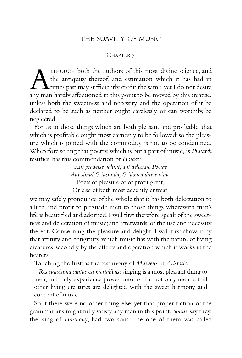## THE SUAVITY OF MUSIC

### CHAPTER 3

**ALTHOUGH both the authors of this most divine science, and the antiquity thereof, and estimation which it has had in times past may sufficiently credit the same; yet I do not desire any man hardly affectioned in this poin** the antiquity thereof, and estimation which it has had in times past may sufficiently credit the same;yet I do not desire any man hardly affectioned in this point to be moved by this treatise, unless both the sweetness and necessity, and the operation of it be declared to be such as neither ought carelessly, or can worthily, be neglected.

For, as in those things which are both pleasant and profitable, that which is profitable ought most earnestly to be followed: so the pleasure which is joined with the commodity is not to be condemned. Wherefore seeing that poetry, which is but a part of music, as *Plutarch* testifies, has this commendation of *Horace:*

> *Aut prodesse volunt, aut delectare Poetae Aut simul & iucunda, & idonea dicere vitae.* Poets of pleasure or of profit great, Or else of both most decently entreat.

we may safely pronounce of the whole that it has both delectation to allure, and profit to persuade men to those things wherewith man's life is beautified and adorned.I will first therefore speak of the sweetness and delectation of music;and afterwards,of the use and necessity thereof. Concerning the pleasure and delight, I will first show it by that affinity and congruity which music has with the nature of living creatures;secondly,by the effects and operation which it works in the hearers.

Touching the first: as the testimony of *Musaeus* in *Aristotle:*

*Res suavisima cantus est mortalibus:* singing is a most pleasant thing to men, and daily experience proves unto us that not only men but all other living creatures are delighted with the sweet harmony and concent of music.

So if there were no other thing else, yet that proper fiction of the grammarians might fully satisfy any man in this point. *Sonus*,say they, the king of *Harmony*, had two sons. The one of them was called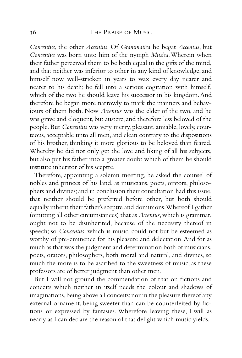## 36 THE PRAISE OF MUSIC

*Concentus*, the other *Accentus*. Of *Grammatica* he begat *Accentus*, but *Concentus* was born unto him of the nymph *Musica*.Wherein when their father perceived them to be both equal in the gifts of the mind, and that neither was inferior to other in any kind of knowledge, and himself now well-stricken in years to wax every day nearer and nearer to his death; he fell into a serious cogitation with himself, which of the two he should leave his successor in his kingdom.And therefore he began more narrowly to mark the manners and behaviours of them both. Now *Accentus* was the elder of the two, and he was grave and eloquent, but austere, and therefore less beloved of the people. But *Concentus* was very merry, pleasant, amiable, lovely, courteous, acceptable unto all men, and clean contrary to the dispositions of his brother, thinking it more glorious to be beloved than feared. Whereby he did not only get the love and liking of all his subjects, but also put his father into a greater doubt which of them he should institute inheritor of his sceptre.

Therefore, appointing a solemn meeting, he asked the counsel of nobles and princes of his land, as musicians, poets, orators, philosophers and divines; and in conclusion their consultation had this issue, that neither should be preferred before other, but both should equally inherit their father's sceptre and dominions.Whereof I gather (omitting all other circumstances) that as *Accentus*, which is grammar, ought not to be disinherited, because of the necessity thereof in speech; so *Concentus*, which is music, could not but be esteemed as worthy of pre-eminence for his pleasure and delectation.And for as much as that was the judgment and determination both of musicians, poets, orators, philosophers, both moral and natural, and divines, so much the more is to be ascribed to the sweetness of music, as these professors are of better judgment than other men.

But I will not ground the commendation of that on fictions and conceits which neither in itself needs the colour and shadows of imaginations, being above all conceits; nor in the pleasure thereof any external ornament, being sweeter than can be counterfeited by fictions or expressed by fantasies. Wherefore leaving these, I will as nearly as I can declare the reason of that delight which music yields.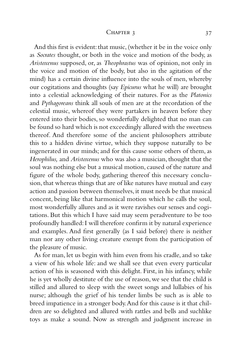#### CHAPTER 3 37

And this first is evident: that music, (whether it be in the voice only as *Socrates* thought, or both in the voice and motion of the body, as *Aristoxenus* supposed, or, as *Theophrastus* was of opinion, not only in the voice and motion of the body, but also in the agitation of the mind) has a certain divine influence into the souls of men, whereby our cogitations and thoughts (say *Epicurus* what he will) are brought into a celestial acknowledging of their natures. For as the *Platonics* and *Pythagoreans* think all souls of men are at the recordation of the celestial music, whereof they were partakers in heaven before they entered into their bodies, so wonderfully delighted that no man can be found so hard which is not exceedingly allured with the sweetness thereof. And therefore some of the ancient philosophers attribute this to a hidden divine virtue, which they suppose naturally to be ingenerated in our minds; and for this cause some others of them, as *Herophilus,* and *Aristoxenus* who was also a musician, thought that the soul was nothing else but a musical motion, caused of the nature and figure of the whole body, gathering thereof this necessary conclusion, that whereas things that are of like natures have mutual and easy action and passion between themselves, it must needs be that musical concent, being like that harmonical motion which he calls the soul, most wonderfully allures and as it were ravishes our senses and cogitations. But this which I have said may seem peradventure to be too profoundly handled:I will therefore confirm it by natural experience and examples. And first generally (as I said before) there is neither man nor any other living creature exempt from the participation of the pleasure of music.

As for man, let us begin with him even from his cradle, and so take a view of his whole life: and we shall see that even every particular action of his is seasoned with this delight. First, in his infancy, while he is yet wholly destitute of the use of reason, we see that the child is stilled and allured to sleep with the sweet songs and lullabies of his nurse; although the grief of his tender limbs be such as is able to breed impatience in a stronger body.And for this cause is it that children are so delighted and allured with rattles and bells and suchlike toys as make a sound. Now as strength and judgment increase in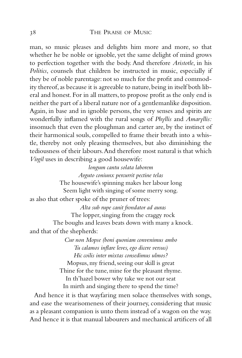## 38 THE PRAISE OF MUSIC

man, so music pleases and delights him more and more, so that whether he be noble or ignoble, yet the same delight of mind grows to perfection together with the body. And therefore *Aristotle*, in his *Politics*, counsels that children be instructed in music, especially if they be of noble parentage: not so much for the profit and commodity thereof, as because it is agreeable to nature, being in itself both liberal and honest. For in all matters, to propose profit as the only end is neither the part of a liberal nature nor of a gentlemanlike disposition. Again, in base and in ignoble persons, the very senses and spirits are wonderfully inflamed with the rural songs of *Phyllis* and *Amaryllis:* insomuch that even the ploughman and carter are, by the instinct of their harmonical souls, compelled to frame their breath into a whistle, thereby not only pleasing themselves, but also diminishing the tediousness of their labours.And therefore most natural is that which *Virgil* uses in describing a good housewife:

*longum cantu solata laborem Arguto coniunx percurrit pectine telas* The housewife's spinning makes her labour long Seem light with singing of some merry song. as also that other spoke of the pruner of trees:

*Alta sub rupe canit frondator ad auras* The lopper, singing from the craggy rock The boughs and leaves beats down with many a knock. and that of the shepherds:

> *Cur non Mopse (boni quoniam convenimus ambo Tu calamos inflare leves, ego dicere versus) Hic coilis inter mixtas consedimus ulmos?* Mopsus, my friend, seeing our skill is great Thine for the tune, mine for the pleasant rhyme. In th'hazel bower why take we not our seat In mirth and singing there to spend the time?

And hence it is that wayfaring men solace themselves with songs, and ease the wearisomeness of their journey, considering that music as a pleasant companion is unto them instead of a wagon on the way. And hence it is that manual labourers and mechanical artificers of all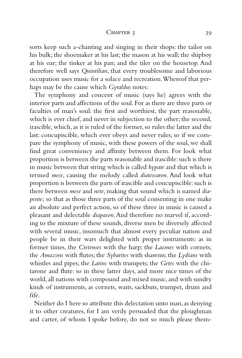#### CHAPTER 3 39

sorts keep such a-chanting and singing in their shops: the tailor on his bulk; the shoemaker at his last; the mason at his wall; the shipboy at his oar; the tinker at his pan; and the tiler on the housetop. And therefore well says *Quintilian*, that every troublesome and laborious occupation uses music for a solace and recreation.Whereof that perhaps may be the cause which *Gyraldus* notes:

The symphony and concent of music (says he) agrees with the interior parts and affections of the soul. For as there are three parts or faculties of man's soul: the first and worthiest, the part reasonable, which is ever chief, and never in subjection to the other; the second, irascible, which, as it is ruled of the former, so rules the latter and the last: concupiscible, which ever obeys and never rules; so if we compare the symphony of music, with these powers of the soul, we shall find great conveniency and affinity between them. For look what proportion is between the parts reasonable and irascible: such is there in music between that string which is called *hypate* and that which is termed *mese*, causing the melody called *diatessaron*. And look what proportion is between the parts of irascible and concupiscible: such is there between *mese* and *nete*, making that sound which is named *diapente;* so that as those three parts of the soul consenting in one make an absolute and perfect action, so of these three in music is caused a pleasant and delectable *diapason*.And therefore no marvel if, according to the mixture of these sounds, diverse men be diversely affected with several music, insomuch that almost every peculiar nation and people be in their wars delighted with proper instruments: as in former times, the *Cretenses* with the harp; the *Lacones* with cornets; the *Amazons* with flutes; the *Sybarites* with shawms; the *Lydians* with whistles and pipes; the *Latins* with trumpets; the *Getes* with the chitarone and flute: so in these latter days, and more nice times of the world, all nations with compound and mixed music, and with sundry kinds of instruments, as cornets, waits, sackbuts, trumpet, drum and fife.

Neither do I here so attribute this delectation unto man, as denying it to other creatures, for I am verily persuaded that the ploughman and carter, of whom I spoke before, do not so much please them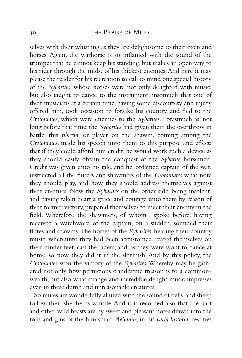selves with their whistling as they are delightsome to their oxen and horses. Again, the warhorse is so inflamed with the sound of the trumpet that he cannot keep his standing, but makes an open way to his rider through the midst of his thickest enemies.And here it may please the reader for his recreation to call to mind one special history of the *Sybarites*, whose horses were not only delighted with music, but also taught to dance to the instrument; insomuch that one of their musicians at a certain time, having some discourtesy and injury offered him, took occasion to forsake his country, and fled to the *Crotoniates*, which were enemies to the *Sybarites*. Forasmuch as, not long before that time, the *Sybarites* had given them the overthrow in battle, this *tibicem*, or player on the shawm, coming among the *Crotoniates*, made his speech unto them to this purpose and effect: that if they could afford him credit, he would work such a device as they should easily obtain the conquest of the *Sybarite* horsemen. Credit was given unto his tale, and he, ordained captain of the war, instructed all the fluters and shawmers of the *Crotoniates* what note they should play, and how they should address themselves against their enemies. Now the *Sybarites* on the other side, being insolent, and having taken heart a grace and courage unto them by reason of their former victory, prepared themselves to meet their enemy in the field. Wherefore the shawmers, of whom I spoke before, having received a watchword of the captain, on a sudden, sounded their flutes and shawms.The horses of the *Sybarites*, hearing their country music, whereunto they had been accustomed, reared themselves on their hinder feet, cast the riders, and, as they were wont to dance at home, so now they did it in the skirmish. And by this policy, the *Crotoniates* won the victory of the *Sybarites*.Whereby may be gathered not only how pernicious clandestine treason is to a commonwealth, but also what strange and incredible delight music impresses even in these dumb and unreasonable creatures.

So mules are wonderfully allured with the sound of bells, and sheep follow their shepherds whistle. And it is recorded also that the hart and other wild beasts are by sweet and pleasant notes drawn into the toils and gins of the huntsman. *Aelianus*, in his *varia historia,* testifies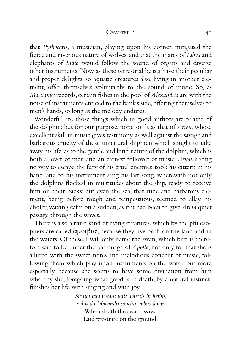#### $CHAPTER 3$  41

that *Pythocaris*, a musician, playing upon his cornet, mitigated the fierce and ravenous nature of wolves, and that the mares of *Libya* and elephants of *India* would follow the sound of organs and diverse other instruments. Now as these terrestrial beasts have their peculiar and proper delights, so aquatic creatures also, living in another element, offer themselves voluntarily to the sound of music. So, as *Martianus* records, certain fishes in the pool of *Alexandria* are with the noise of instruments enticed to the bank's side,offering themselves to men's hands, so long as the melody endures.

Wonderful are those things which in good authors are related of the dolphin; but for our purpose, none so fit as that of *Arion*, whose excellent skill in music gives testimony, as well against the savage and barbarous cruelty of those unnatural shipmen which sought to take away his life, as to the gentle and kind nature of the dolphin, which is both a lover of men and an earnest follower of music. *Arion*, seeing no way to escape the fury of his cruel enemies, took his cittern in his hand, and to his instrument sang his last song, wherewith not only the dolphins flocked in multitudes about the ship, ready to receive him on their backs; but even the sea, that rude and barbarous element, being before rough and tempestuous, seemed to allay his choler, waxing calm on a sudden, as if it had been to give *Arion* quiet passage through the waves.

There is also a third kind of living creatures, which by the philosophers are called  $αμφιβια$ , because they live both on the land and in the waters. Of these, I will only name the swan, which bird is therefore said to be under the patronage of *Apollo*, not only for that she is allured with the sweet notes and melodious concent of music, following them which play upon instruments on the water, but more especially because she seems to have some divination from him whereby she, foregoing what good is in death, by a natural instinct, finishes her life with singing and with joy.

> *Sic ubi fata vocant udis abiectis in herbis, Ad vada Maeandri concinit albus dolor:* When death the swan assays, Laid prostrate on the ground,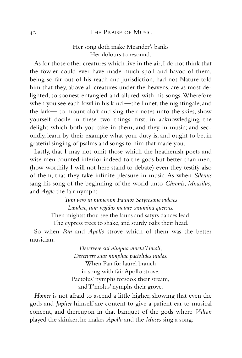# 42 THE PRAISE OF MUSIC

# Her song doth make Meander's banks Her dolours to resound.

As for those other creatures which live in the air,I do not think that the fowler could ever have made much spoil and havoc of them, being so far out of his reach and jurisdiction, had not Nature told him that they, above all creatures under the heavens, are as most delighted, so soonest entangled and allured with his songs.Wherefore when you see each fowl in his kind —the linnet, the nightingale, and the lark— to mount aloft and sing their notes unto the skies, show yourself docile in these two things: first, in acknowledging the delight which both you take in them, and they in music; and secondly, learn by their example what your duty is, and ought to be, in grateful singing of psalms and songs to him that made you.

Lastly, that I may not omit those which the heathenish poets and wise men counted inferior indeed to the gods but better than men, (how worthily I will not here stand to debate) even they testify also of them, that they take infinite pleasure in music. As when *Silenus* sang his song of the beginning of the world unto *Chronis*, *Mnasilus*, and *Aegle* the fair nymph:

> *Tum vero in numerum Faunos Satyrosque videres Laudere, tum regidas motare cacumina quercus.*

Then mightst thou see the fauns and satyrs dances lead,

The cypress trees to shake, and sturdy oaks their head.

So when *Pan* and *Apollo* strove which of them was the better musician:

> *Deservere sui nimpha vineta Timoli, Deservere suas nimphae pactolides undas.* When Pan for laurel branch in song with fair Apollo strove, Pactolus' nymphs forsook their stream, and T'molus' nymphs their grove.

*Homer* is not afraid to ascend a little higher, showing that even the gods and *Jupiter* himself are content to give a patient ear to musical concent, and thereupon in that banquet of the gods where *Vulcan* played the skinker, he makes *Apollo* and the *Muses* sing a song: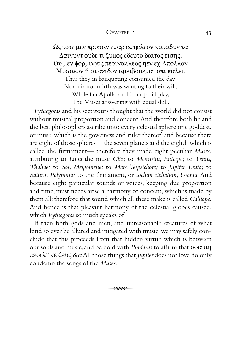### CHAPTER 3 43

Ως τοτε µεν προπαν εµαρ ες ηελεον καταδυν τα ∆αινυντ ουδε τι ζυµος εδευτο δαιτος εισης, Ου µεν φορµινγος περικαλλεος ηεν εχ Απολλον Μυσαεον ϑ αι αειδον αµειβοµεµαι οπι καλει. Thus they in banqueting consumed the day: Nor fair nor mirth was wanting to their will, While fair Apollo on his harp did play, The Muses answering with equal skill.

*Pythagoras* and his sectatours thought that the world did not consist without musical proportion and concent.And therefore both he and the best philosophers ascribe unto every celestial sphere one goddess, or muse, which is the governess and ruler thereof: and because there are eight of those spheres —the seven planets and the eighth which is called the firmament— therefore they made eight peculiar *Muses:* attributing to *Luna* the muse *Clio;* to *Mercurius, Euterpe;* to *Venus, Thaliae;* to *Sol, Melpomene;* to *Mars, Terpsichore;* to *Jupiter, Erato;* to *Saturn, Polymnia;* to the firmament, or *coelum stellatum, Urania*. And because eight particular sounds or voices, keeping due proportion and time, must needs arise a harmony or concent, which is made by them all; therefore that sound which all these make is called *Calliope*. And hence is that pleasant harmony of the celestial globes caused, which *Pythagoras* so much speaks of.

If then both gods and men, and unreasonable creatures of what kind so ever be allured and mitigated with music, we may safely conclude that this proceeds from that hidden virtue which is between our souls and music,and be bold with *Pindarus* to affirm that οοα µη πεφιληκε ζευς &c:All those things that *Jupiter* does not love do only condemn the songs of the *Muses*.

 $\overline{\mathscr{R}}$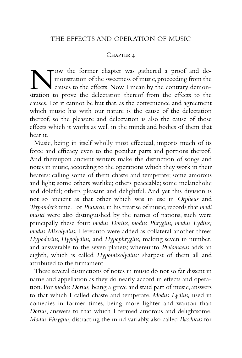## CHAPTER 4

Now the former chapter was gathered a proof and de-<br>monstration of the sweetness of music, proceeding from the<br>causes to the effects. Now, I mean by the contrary demon-<br>stration to prove the delectation thereof from the ef monstration of the sweetness of music, proceeding from the causes to the effects. Now, I mean by the contrary demonstration to prove the delectation thereof from the effects to the causes. For it cannot be but that, as the convenience and agreement which music has with our nature is the cause of the delectation thereof, so the pleasure and delectation is also the cause of those effects which it works as well in the minds and bodies of them that hear it.

Music, being in itself wholly most effectual, imports much of its force and efficacy even to the peculiar parts and portions thereof. And thereupon ancient writers make the distinction of songs and notes in music, according to the operations which they work in their hearers: calling some of them chaste and temperate; some amorous and light; some others warlike; others peaceable; some melancholic and doleful; others pleasant and delightful. And yet this division is not so ancient as that other which was in use in *Orpheus* and *Terpander's* time. For *Plutarch*, in his treatise of music, records that *modi musici* were also distinguished by the names of nations, such were principally these four: *modus Dorius, modus Phrygius, modus Lydius; modus Mixolydius.* Hereunto were added as collateral another three: *Hypodorius, Hypolydius,* and *Hypophrygius,* making seven in number, and answerable to the seven planets; whereunto *Ptolomaeus* adds an eighth, which is called *Hypomixolydius:* sharpest of them all and attributed to the firmament.

These several distinctions of notes in music do not so far dissent in name and appellation as they do nearly accord in effects and operation. For *modus Dorius,* being a grave and staid part of music, answers to that which I called chaste and temperate. *Modus Lydius,* used in comedies in former times, being more lighter and wanton than *Dorius*, answers to that which I termed amorous and delightsome. *Modus Phrygius,* distracting the mind variably, also called *Bacchicus* for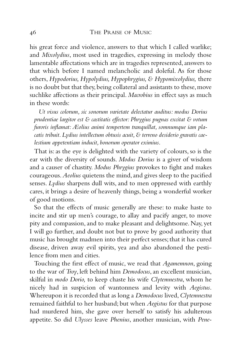his great force and violence, answers to that which I called warlike; and *Mixolydius*, most used in tragedies, expressing in melody those lamentable affectations which are in tragedies represented, answers to that which before I named melancholic and doleful. As for those others, *Hypodorius, Hypolydius, Hypophrygius, & Hypomixolydius,* there is no doubt but that they, being collateral and assistants to these, move suchlike affections as their principal. *Macrobius* in effect says as much in these words:

*Ut visus colorum, sic sonorum varietate delectatur auditus: modus Dorius prudentiae largitor est & castitatis effector: Phrygius pugnas excitat & votum furoris inflamat: Æolius animi tempertem tranquillat, somnumque iam pla*catis tribuit. Lydius intellectum obtusis acuit, & terreno desiderio gravatis cae*lestium appetentiam inducit, bonorum operator eximius*.

That is: as the eye is delighted with the variety of colours, so is the ear with the diversity of sounds. *Modus Dorius* is a giver of wisdom and a causer of chastity. *Modus Phrygius* provokes to fight and makes courageous.*Aeolius* quietens the mind,and gives sleep to the pacified senses. *Lydius* sharpens dull wits, and to men oppressed with earthly cares, it brings a desire of heavenly things, being a wonderful worker of good motions.

So that the effects of music generally are these: to make haste to incite and stir up men's courage, to allay and pacify anger, to move pity and compassion, and to make pleasant and delightsome. Nay, yet I will go further, and doubt not but to prove by good authority that music has brought madmen into their perfect senses; that it has cured disease, driven away evil spirits, yea and also abandoned the pestilence from men and cities.

Touching the first effect of music, we read that *Agamemnon*, going to the war of *Troy*, left behind him *Demodocus*, an excellent musician, skilful in *modo Dorio,* to keep chaste his wife *Clytemnestra*, whom he nicely had in suspicion of wantonness and levity with *Aegistus*. Whereupon it is recorded that as long a *Demodocus* lived,*Clytemnestra* remained faithful to her husband; but when *Aegistus* for that purpose had murdered him, she gave over herself to satisfy his adulterous appetite. So did *Ulysses* leave *Phenius*, another musician, with *Pene-*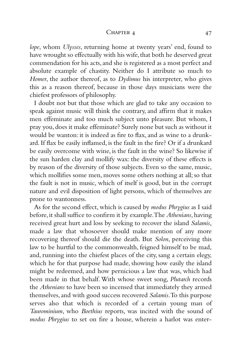#### CHAPTER 4 47

*lope*, whom *Ulysses*, returning home at twenty years' end, found to have wrought so effectually with his wife, that both he deserved great commendation for his acts, and she is registered as a most perfect and absolute example of chastity. Neither do I attribute so much to *Homer*, the author thereof, as to *Dydimus* his interpreter, who gives this as a reason thereof, because in those days musicians were the chiefest professors of philosophy.

I doubt not but that those which are glad to take any occasion to speak against music will think the contrary, and affirm that it makes men effeminate and too much subject unto pleasure. But whom, I pray you,does it make effeminate? Surely none but such as without it would be wanton: it is indeed as fire to flax, and as wine to a drunkard. If flax be easily inflamed, is the fault in the fire? Or if a drunkard be easily overcome with wine, is the fault in the wine? So likewise if the sun harden clay and mollify wax: the diversity of these effects is by reason of the diversity of those subjects. Even so the same, music, which mollifies some men, moves some others nothing at all; so that the fault is not in music, which of itself is good, but in the corrupt nature and evil disposition of light persons, which of themselves are prone to wantonness.

As for the second effect, which is caused by *modus Phrygius* as I said before,it shall suffice to confirm it by example.The *Athenians*,having received great hurt and loss by seeking to recover the island *Salamis*, made a law that whosoever should make mention of any more recovering thereof should die the death. But *Solon*, perceiving this law to be hurtful to the commonwealth, feigned himself to be mad, and, running into the chiefest places of the city, sang a certain elegy, which he for that purpose had made, showing how easily the island might be redeemed, and how pernicious a law that was, which had been made in that behalf.With whose sweet song, *Plutarch* records the *Athenians* to have been so incensed that immediately they armed themselves, and with good success recovered *Salamis*.To this purpose serves also that which is recorded of a certain young man of *Taurominium*, who *Boethius* reports, was incited with the sound of *modus Phrygius* to set on fire a house, wherein a harlot was enter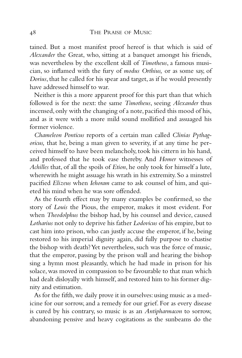tained. But a most manifest proof hereof is that which is said of *Alexander* the Great, who, sitting at a banquet amongst his friends, was nevertheless by the excellent skill of *Timotheus*, a famous musician, so inflamed with the fury of *modus Orthius,* or as some say, of *Dorius*, that he called for his spear and target, as if he would presently have addressed himself to war.

Neither is this a more apparent proof for this part than that which followed is for the next: the same *Timotheus*, seeing *Alexander* thus incensed,only with the changing of a note,pacified this mood of his, and as it were with a more mild sound mollified and assuaged his former violence.

*Chameleon Ponticus* reports of a certain man called *Clinias Pythagoricus,* that he, being a man given to severity, if at any time he perceived himself to have been melancholy, took his cittern in his hand, and professed that he took ease thereby. And *Homer* witnesses of *Achilles* that, of all the spoils of *Etion*, he only took for himself a lute, wherewith he might assuage his wrath in his extremity. So a minstrel pacified *Elizeus* when *Iehoram* came to ask counsel of him, and quieted his mind when he was sore offended.

As the fourth effect may by many examples be confirmed, so the story of *Louis* the Pious, the emperor, makes it most evident. For when *Theodolphus* the bishop had, by his counsel and device, caused Lotharius not only to deprive his father *Lodovicus* of his empire, but to cast him into prison, who can justly accuse the emperor, if he, being restored to his imperial dignity again, did fully purpose to chastise the bishop with death? Yet nevertheless, such was the force of music, that the emperor, passing by the prison wall and hearing the bishop sing a hymn most pleasantly, which he had made in prison for his solace, was moved in compassion to be favourable to that man which had dealt disloyally with himself, and restored him to his former dignity and estimation.

As for the fifth, we daily prove it in ourselves: using music as a medicine for our sorrow, and a remedy for our grief. For as every disease is cured by his contrary, so music is as an *Antipharmacon* to sorrow, abandoning pensive and heavy cogitations as the sunbeams do the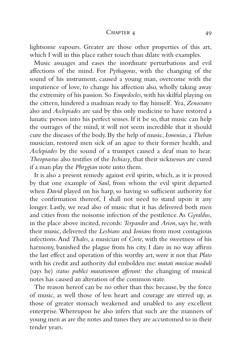#### CHAPTER 4 49

lightsome vapours. Greater are those other properties of this art, which I will in this place rather touch than dilate with examples.

Music assuages and eases the inordinate perturbations and evil affections of the mind. For *Pythagoras*, with the changing of the sound of his instrument, caused a young man, overcome with the impatience of love, to change his affection also, wholly taking away the extremity of his passion. So *Empedocles*, with his skilful playing on the cittern, hindered a madman ready to flay himself. Yea, *Zenocrates* also and *Asclepiades* are said by this only medicine to have restored a lunatic person into his perfect senses. If it be so, that music can help the outrages of the mind, it will not seem incredible that it should cure the diseases of the body. By the help of music,*Ismenias*, a *Theban* musician, restored men sick of an ague to their former health, and *Asclepiades* by the sound of a trumpet caused a deaf man to hear. *Theoprastus* also testifies of the *Ischiasy*, that their sicknesses are cured if a man play the *Phrygian* note unto them.

It is also a present remedy against evil spirits, which, as it is proved by that one example of *Saul*, from whom the evil spirit departed when *David* played on his harp, so having so sufficient authority for the confirmation thereof, I shall not need to stand upon it any longer. Lastly, we read also of music that it has delivered both men and cities from the noisome infection of the pestilence.As *Gyraldus*, in the place above incited, records: *Terpander* and *Arion*, says he, with their music, delivered the *Lesbians* and *Ionians* from most contagious infections.And *Thales*, a musician of *Crete*, with the sweetness of his harmony, banished the plague from his city. I dare in no way affirm the last effect and operation of this worthy art, were it not that *Plato* with his credit and authority did embolden me:*mutati musicae moduli* (says he) *status publici mutationem afferunt:* the changing of musical notes has caused an alteration of the common state.

The reason hereof can be no other than this: because, by the force of music, as well those of less heart and courage are stirred up, as those of greater stomach weakened and unabled to any excellent enterprise. Whereupon he also infers that such are the manners of young men as are the notes and tunes they are accustomed to in their tender years.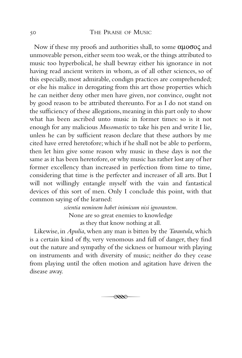## 50 THE PRAISE OF MUSIC

Now if these my proofs and authorities shall, to some αµοσος and unmoveable person, either seem too weak, or the things attributed to music too hyperbolical, he shall bewray either his ignorance in not having read ancient writers in whom, as of all other sciences, so of this especially, most admirable, condign practices are comprehended; or else his malice in derogating from this art those properties which he can neither deny other men have given, nor convince, ought not by good reason to be attributed thereunto. For as I do not stand on the sufficiency of these allegations, meaning in this part only to show what has been ascribed unto music in former times: so is it not enough for any malicious *Musomastix* to take his pen and write I lie, unless he can by sufficient reason declare that these authors by me cited have erred heretofore; which if he shall not be able to perform, then let him give some reason why music in these days is not the same as it has been heretofore, or why music has rather lost any of her former excellency than increased in perfection from time to time, considering that time is the perfecter and increaser of all arts. But I will not willingly entangle myself with the vain and fantastical devices of this sort of men. Only I conclude this point, with that common saying of the learned:

> *scientia neminem habet inimicum nisi ignorantem.* None are so great enemies to knowledge as they that know nothing at all.

Likewise, in *Apulia*, when any man is bitten by the *Tarantula*, which is a certain kind of fly, very venomous and full of danger, they find out the nature and sympathy of the sickness or humour with playing on instruments and with diversity of music; neither do they cease from playing until the often motion and agitation have driven the disease away.

$$
\overline{\mathcal{A}^{\mathcal{A}}}
$$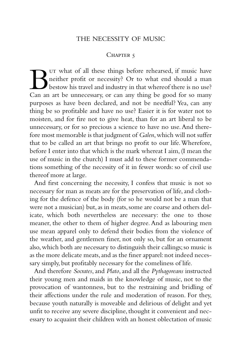## THE NECESSITY OF MUSIC

## CHAPTER 5

UT what of all these things before rehearsed, if music have<br>neither profit or necessity? Or to what end should a man<br>class must be understanded industry in that whereof there is no use?<br>Can an art be unnecessary, or can an neither profit or necessity? Or to what end should a man bestow his travel and industry in that whereof there is no use? Can an art be unnecessary, or can any thing be good for so many purposes as have been declared, and not be needful? Yea, can any thing be so profitable and have no use? Easier it is for water not to moisten, and for fire not to give heat, than for an art liberal to be unnecessary, or for so precious a science to have no use.And therefore most memorable is that judgment of *Galen*, which will not suffer that to be called an art that brings no profit to our life.Wherefore, before I enter into that which is the mark whereat I aim, (I mean the use of music in the church) I must add to these former commendations something of the necessity of it in fewer words: so of civil use thereof more at large.

And first concerning the necessity, I confess that music is not so necessary for man as meats are for the preservation of life, and clothing for the defence of the body (for so he would not be a man that were not a musician) but, as in meats, some are coarse and others delicate, which both nevertheless are necessary: the one to those meaner, the other to them of higher degree. And as labouring men use mean apparel only to defend their bodies from the violence of the weather, and gentlemen finer, not only so, but for an ornament also, which both are necessary to distinguish their callings; so music is as the more delicate meats, and as the finer apparel: not indeed necessary simply, but profitably necessary for the comeliness of life.

And therefore *Socrates*, and *Plato*, and all the *Pythagoreans* instructed their young men and maids in the knowledge of music, not to the provocation of wantonness, but to the restraining and bridling of their affections under the rule and moderation of reason. For they, because youth naturally is moveable and delirious of delight and yet unfit to receive any severe discipline, thought it convenient and necessary to acquaint their children with an honest oblectation of music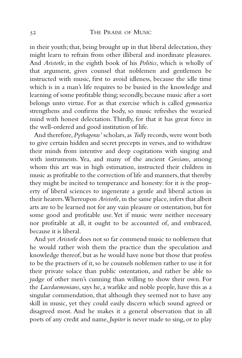in their youth; that, being brought up in that liberal delectation, they might learn to refrain from other illiberal and inordinate pleasures. And *Aristotle*, in the eighth book of his *Politics*, which is wholly of that argument, gives counsel that noblemen and gentlemen be instructed with music, first to avoid idleness, because the idle time which is in a man's life requires to be busied in the knowledge and learning of some profitable thing; secondly, because music after a sort belongs unto virtue. For as that exercise which is called *gymnastica* strengthens and confirms the body, so music refreshes the wearied mind with honest delectation.Thirdly, for that it has great force in the well-ordered and good institution of life.

And therefore, *Pythagoras'* scholars, as *Tully* records, were wont both to give certain hidden and secret precepts in verses, and to withdraw their minds from intentive and deep cogitations with singing and with instruments. Yea, and many of the ancient *Grecians*, among whom this art was in high estimation, instructed their children in music as profitable to the correction of life and manners, that thereby they might be incited to temperance and honesty: for it is the property of liberal sciences to ingenerate a gentle and liberal action in their hearers. Whereupon *Aristotle*, in the same place, infers that albeit arts are to be learned not for any vain pleasure or ostentation, but for some good and profitable use.Yet if music were neither necessary nor profitable at all, it ought to be accounted of, and embraced, because it is liberal.

And yet *Aristotle* does not so far commend music to noblemen that he would rather wish them the practice than the speculation and knowledge thereof, but as he would have none but those that profess to be the practisers of it, so he counsels noblemen rather to use it for their private solace than public ostentation, and rather be able to judge of other men's cunning than willing to show their own. For the *Lacedaemonians*, says he, a warlike and noble people, have this as a singular commendation, that although they seemed not to have any skill in music, yet they could easily discern which sound agreed or disagreed most. And he makes it a general observation that in all poets of any credit and name, *Jupiter* is never made to sing, or to play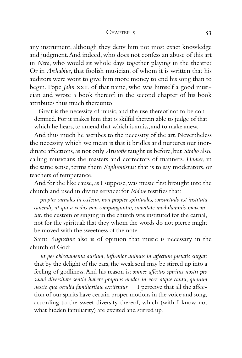#### $CHAPTER 5$  53

any instrument, although they deny him not most exact knowledge and judgment.And indeed, who does not confess an abuse of this art in *Nero*, who would sit whole days together playing in the theatre? Or in *Archabius*, that foolish musician, of whom it is written that his auditors were wont to give him more money to end his song than to begin. Pope *John* xxii, of that name, who was himself a good musician and wrote a book thereof; in the second chapter of his book attributes thus much thereunto:

Great is the necessity of music, and the use thereof not to be condemned. For it makes him that is skilful therein able to judge of that which he hears, to amend that which is amiss, and to make anew.

And thus much he ascribes to the necessity of the art. Nevertheless the necessity which we mean is that it bridles and nurtures our inordinate affections,as not only *Aristotle* taught us before,but *Strabo* also, calling musicians the masters and correctors of manners. *Homer*, in the same sense, terms them *Sophronistas:* that is to say moderators, or teachers of temperance.

And for the like cause, as I suppose, was music first brought into the church and used in divine service: for *Isidore* testifies that:

*propter carnales in ecclesia, non propter spirituales, consuetudo est instituta canendi, ut qui a verbis non compunguntur, suavitate modulaminis moveantur:* the custom of singing in the church was instituted for the carnal, not for the spiritual: that they whom the words do not pierce might be moved with the sweetness of the note.

Saint *Augustine* also is of opinion that music is necessary in the church of God:

*ut per oblectamenta aurium, infirmior animus in affectum pietatis surgat:* that by the delight of the ears, the weak soul may be stirred up into a feeling of godliness.And his reason is: *omnes affectus spiritus nostri pro suavi diversitate sentio habere proprios modos in voce atque cantu, quorum nescio qua occulta familiaritate excitentur* — I perceive that all the affection of our spirits have certain proper motions in the voice and song, according to the sweet diversity thereof, which (with I know not what hidden familiarity) are excited and stirred up.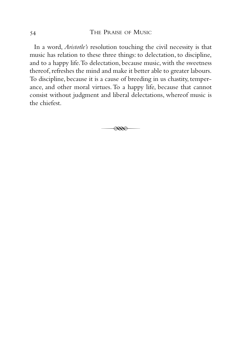In a word, *Aristotle's* resolution touching the civil necessity is that music has relation to these three things: to delectation, to discipline, and to a happy life.To delectation, because music, with the sweetness thereof, refreshes the mind and make it better able to greater labours. To discipline, because it is a cause of breeding in us chastity, temperance, and other moral virtues. To a happy life, because that cannot consist without judgment and liberal delectations, whereof music is the chiefest.

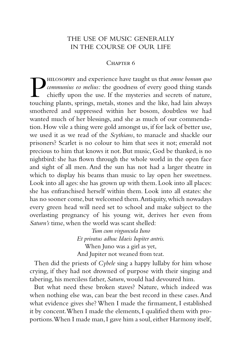# THE USE OF MUSIC GENERALLY IN THE COURSE OF OUR LIFE

## CHAPTER<sub>6</sub>

**PHILOSOPHY** and experience have taught us that *omne bonum quo* communius eo melius: the goodness of every good thing stands chiefly upon the use. If the mysteries and secrets of nature, touching plants. springs. metals. *communius eo melius:* the goodness of every good thing stands chiefly upon the use. If the mysteries and secrets of nature, touching plants, springs, metals, stones and the like, had lain always smothered and suppressed within her bosom, doubtless we had wanted much of her blessings, and she as much of our commendation. How vile a thing were gold amongst us, if for lack of better use, we used it as we read of the *Scythians*, to manacle and shackle our prisoners? Scarlet is no colour to him that sees it not; emerald not precious to him that knows it not. But music, God be thanked, is no nightbird: she has flown through the whole world in the open face and sight of all men. And the sun has not had a larger theatre in which to display his beams than music to lay open her sweetness. Look into all ages: she has grown up with them. Look into all places: she has enfranchised herself within them. Look into all estates: she has no sooner come, but welcomed them. Antiquity, which nowadays every green head will need set to school and make subject to the overlasting pregnancy of his young wit, derives her even from *Saturn's* time, when the world was scant shelled:

> *Tum cum virguncula Iuno Et privatus adhuc Idaeis Iupiter antris.* When Juno was a girl as yet, And Jupiter not weaned from teat.

Then did the priests of *Cybele* sing a happy lullaby for him whose crying, if they had not drowned of purpose with their singing and tabering, his merciless father, *Saturn*, would had devoured him.

But what need these broken staves? Nature, which indeed was when nothing else was, can bear the best record in these cases.And what evidence gives she? When I made the firmament, I established it by concent.When I made the elements, I qualified them with proportions. When I made man, I gave him a soul, either Harmony itself,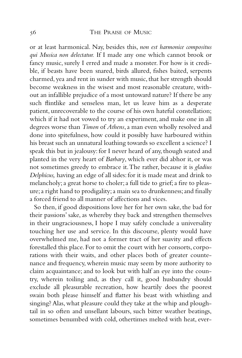## 56 THE PRAISE OF MUSIC

or at least harmonical. Nay, besides this, *non est harmonice compositus qui Musica non delectatur.* If I made any one which cannot brook or fancy music, surely I erred and made a monster. For how is it credible, if beasts have been snared, birds allured, fishes baited, serpents charmed, yea and rent in sunder with music, that her strength should become weakness in the wisest and most reasonable creature, without an infallible prejudice of a most untoward nature? If there be any such flintlike and senseless man, let us leave him as a desperate patient, unrecoverable to the course of his own hateful constellation; which if it had not vowed to try an experiment, and make one in all degrees worse than *Timon* of *Athens*, a man even wholly resolved and done into spitefulness, how could it possibly have harboured within his breast such an unnatural loathing towards so excellent a science? I speak this but in jealousy: for I never heard of any, though seated and planted in the very heart of *Barbary*, which ever did abhor it, or was not sometimes greedy to embrace it.The rather, because it is *gladius Delphicus,* having an edge of all sides: for it is made meat and drink to melancholy; a great horse to choler; a full tide to grief; a fire to pleasure;a right hand to prodigality;a main sea to drunkenness;and finally a forced friend to all manner of affections and vices.

So then, if good dispositions love her for her own sake, the bad for their passions' sake, as whereby they back and strengthen themselves in their ungraciousness, I hope I may safely conclude a universality touching her use and service. In this discourse, plenty would have overwhelmed me, had not a former tract of her suavity and effects forestalled this place. For to omit the court with her consorts, corporations with their waits, and other places both of greater countenance and frequency, wherein music may seem by more authority to claim acquaintance; and to look but with half an eye into the country, wherein toiling and, as they call it, good husbandry should exclude all pleasurable recreation, how heartily does the poorest swain both please himself and flatter his beast with whistling and singing? Alas, what pleasure could they take at the whip and ploughtail in so often and unsellant labours, such bitter weather beatings, sometimes benumbed with cold, othertimes melted with heat, ever-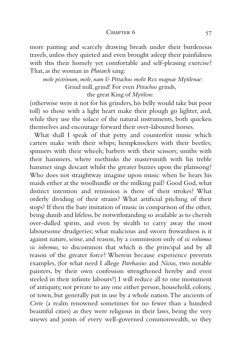## CHAPTER 6 57

more panting and scarcely drawing breath under their burdenous travels, unless they quieted and even brought asleep their painfulness with this their homely yet comfortable and self-pleasing exercise? That, as the woman in *Plutarch* sang:

*mole pistrinum, mole, nam & Pittachus molit Rex magnae Mytilenae:* Grind mill, grind! For even *Pittachus* grinds,

the great King of *Mytilene.*

(otherwise were it not for his grinders, his belly would take but poor toll) so those with a light heart make their plough go lighter, and, while they use the solace of the natural instruments, both quicken themselves and encourage forward their over-laboured horses.

What shall I speak of that petty and counterfeit music which carters make with their whips; hempknockers with their beetles; spinners with their wheels; barbers with their scissors; smiths with their hammers, where methinks the mastersmith with his treble hammer sings descant whilst the greater buzzes upon the plainsong? Who does not straightway imagine upon music when he hears his maids either at the woolhurdle or the milking pail? Good God, what distinct intention and remission is there of their strokes? What orderly dividing of their strains? What artificial pitching of their stops? If then the bare imitation of music in comparison of the other, being dumb and lifeless, be notwithstanding so available as to cherish over-dulled spirits, and even by stealth to carry away the most laboursome drudgeries; what malicious and sworn frowardness is it against nature, sense, and reason, by a commission only of *sic volumus sic inbemus,* to discommon that which is the principal and by all reason of the greater force? Wherein because experience prevents examples, (for what need I allege *Parrhasius* and *Nicias,* two notable painters, by their own confession strengthened hereby and even steeled in their infinite labours?) I will reduce all to one monument of antiquity, not private to any one either person, household, colony, or town, but generally put in use by a whole nation.The ancients of *Crete* (a realm renowned sometimes for no fewer than a hundred beautiful cities) as they were religious in their laws, being the very sinews and joints of every well-governed commonwealth, so they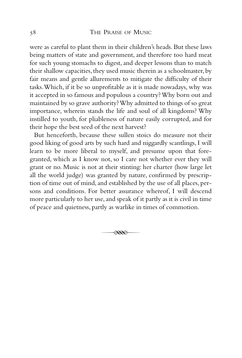were as careful to plant them in their children's heads. But these laws being matters of state and government, and therefore too hard meat for such young stomachs to digest, and deeper lessons than to match their shallow capacities, they used music therein as a schoolmaster, by fair means and gentle allurements to mitigate the difficulty of their tasks.Which, if it be so unprofitable as it is made nowadays, why was it accepted in so famous and populous a country? Why born out and maintained by so grave authority? Why admitted to things of so great importance, wherein stands the life and soul of all kingdoms? Why instilled to youth, for pliableness of nature easily corrupted, and for their hope the best seed of the next harvest?

But henceforth, because these sullen stoics do measure not their good liking of good arts by such hard and niggardly scantlings, I will learn to be more liberal to myself, and presume upon that foregranted, which as I know not, so I care not whether ever they will grant or no. Music is not at their stinting: her charter (how large let all the world judge) was granted by nature, confirmed by prescription of time out of mind, and established by the use of all places, persons and conditions. For better assurance whereof, I will descend more particularly to her use, and speak of it partly as it is civil in time of peace and quietness, partly as warlike in times of commotion.

$$
\overline{\phantom{0}}\hspace{0.2cm}
$$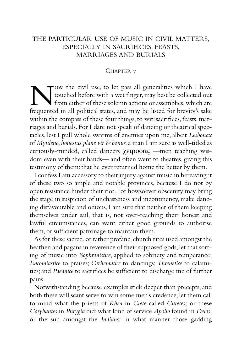# THE PARTICULAR USE OF MUSIC IN CIVIL MATTERS, ESPECIALLY IN SACRIFICES, FEASTS, MARRIAGES AND BURIALS

### CHAPTER 7

Now the civil use, to let pass all generalities which I have<br>touched before with a wet finger, may best be collected out<br>frequented in all political states, and may be listed for brevity's sake touched before with a wet finger, may best be collected out from either of these solemn actions or assemblies, which are frequented in all political states, and may be listed for brevity's sake within the compass of these four things, to wit: sacrifices, feasts, marriages and burials. For I dare not speak of dancing or theatrical spectacles, lest I pull whole swarms of enemies upon me, albeit *Lesbonax* of *Mytilene*, *honestus plane vir & bonus,*a man I am sure as well-titled as curiously-minded, called dancers χειροφας —men teaching wisdom even with their hands— and often went to theatres, giving this testimony of them: that he ever returned home the better by them.

I confess I am accessory to their injury against music in bereaving it of these two so ample and notable provinces, because I do not by open resistance hinder their riot.For howsoever obscenity may bring the stage in suspicion of unchasteness and incontinency, make dancing disfavourable and odious, I am sure that neither of them keeping themselves under sail, that is, not over-reaching their honest and lawful circumstances, can want either good grounds to authorise them, or sufficient patronage to maintain them.

As for these sacred, or rather profane, church rites used amongst the heathen and pagans in reverence of their supposed gods, let that sorting of music into *Sophronistice*, applied to sobriety and temperance; *Encomiastice* to praises; *Orchematice* to dancings; *Threnetice* to calamities; and *Paeanice* to sacrifices be sufficient to discharge me of further pains.

Notwithstanding because examples stick deeper than precepts, and both these will scant serve to win some men's credence, let them call to mind what the priests of *Rhea* in *Crete* called *Curetes;* or these *Corybantes* in *Phrygia* did; what kind of service *Apollo* found in *Delos*, or the sun amongst the *Indians;* in what manner those gadding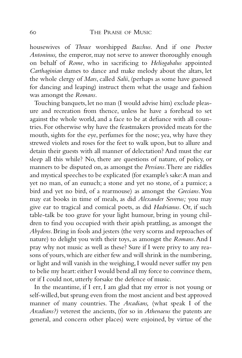housewives of *Thrace* worshipped *Bacchus*. And if one *Proctor Antoninus,* the emperor, may not serve to answer thoroughly enough on behalf of *Rome*, who in sacrificing to *Heliogabalus* appointed *Carthaginian* dames to dance and make melody about the altars, let the whole clergy of *Mars*, called *Salii*, (perhaps as some have guessed for dancing and leaping) instruct them what the usage and fashion was amongst the *Romans*.

Touching banquets,let no man (I would advise him) exclude pleasure and recreation from thence, unless he have a forehead to set against the whole world, and a face to be at defiance with all countries. For otherwise why have the feastmakers provided meats for the mouth, sights for the eye, perfumes for the nose; yea, why have they strewed violets and roses for the feet to walk upon, but to allure and detain their guests with all manner of delectation? And must the ear sleep all this while? No, there are questions of nature, of policy, or manners to be disputed on, as amongst the *Persians*.There are riddles and mystical speeches to be explicated (for example's sake:A man and yet no man, of an eunuch; a stone and yet no stone, of a pumice; a bird and yet no bird, of a rearmouse) as amongst the *Grecians*.You may eat books in time of meals, as did *Alexander Severus;* you may give ear to tragical and comical poets, as did *Hadrianus*. Or, if such table-talk be too grave for your light humour, bring in young children to find you occupied with their apish prattling, as amongst the *Abydens*. Bring in fools and jesters (the very scorns and reproaches of nature) to delight you with their toys, as amongst the *Romans*.And I pray why not music as well as these? Sure if I were privy to any reasons of yours, which are either few and will shrink in the numbering, or light and will vanish in the weighing, I would never suffer my pen to belie my heart: either I would bend all my force to convince them, or if I could not, utterly forsake the defence of music.

In the meantime, if I err, I am glad that my error is not young or self-willed, but sprung even from the most ancient and best approved manner of many countries. The *Arcadians,* (what speak I of the *Arcadians?)* veterest the ancients, (for so in *Athenaeus* the patents are general, and concern other places) were enjoined, by virtue of the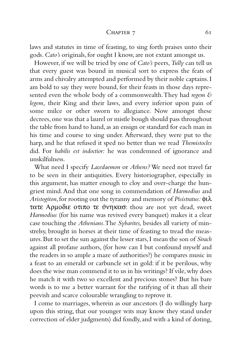#### CHAPTER 7 61

laws and statutes in time of feasting, to sing forth praises unto their gods. *Cato's* originals, for ought I know, are not extant amongst us.

However, if we will be tried by one of *Cato's* peers,*Tully* can tell us that every guest was bound in musical sort to express the feats of arms and chivalry attempted and performed by their noble captains.I am bold to say they were bound, for their feasts in those days represented even the whole body of a commonwealth.They had *regem & legem,* their King and their laws, and every inferior upon pain of some milce or other sworn to allegiance. Now amongst these decrees,one was that a laurel or mistle bough should pass throughout the table from hand to hand, as an ensign or standard for each man in his time and course to sing under. Afterward, they were put to the harp, and he that refused it sped no better than we read *Themistocles* did. For *habilis est indoctior:* he was condemned of ignorance and unskilfulness.

What need I specify *Lacedaemon* or *Athens?* We need not travel far to be seen in their antiquities. Every historiographer, especially in this argument, has matter enough to cloy and over-charge the hungriest mind.And that one song in commendation of *Harmodius* and *Aristogiton*,for rooting out the tyranny and memory of *Pisistratus:* φιλ τατε Αρµοδιε οτιπο τε ϑνηκασ: thou are not yet dead, sweet *Harmodius* (for his name was revived every banquet) makes it a clear case touching the *Athenians*.The *Sybarites,* besides all variety of minstrelsy, brought in horses at their time of feasting to tread the measures.But to set the sun against the lesser stars,I mean the son of *Sirach* against all profane authors, (for how can I but confound myself and the readers in so ample a maze of authorities?) he compares music in a feast to an emerald or carbuncle set in gold: if it be perilous, why does the wise man commend it to us in his writings? If vile,why does he match it with two so excellent and precious stones? But his bare words is to me a better warrant for the ratifying of it than all their peevish and scarce colourable wrangling to reprove it.

I come to marriages, wherein as our ancestors (I do willingly harp upon this string, that our younger wits may know they stand under correction of elder judgments) did fondly, and with a kind of doting,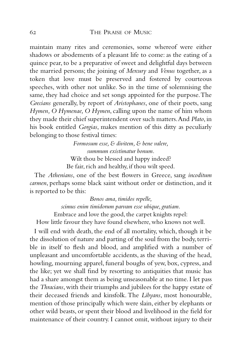maintain many rites and ceremonies, some whereof were either shadows or abodements of a pleasant life to come: as the eating of a quince pear, to be a preparative of sweet and delightful days between the married persons; the joining of *Mercury* and *Venus* together, as a token that love must be preserved and fostered by courteous speeches, with other not unlike. So in the time of solemnising the same, they had choice and set songs appointed for the purpose.The *Grecians* generally, by report of *Aristophanes*, one of their poets, sang *Hymen, O Hymenae, O Hymen*, calling upon the name of him whom they made their chief superintendent over such matters.And *Plato*, in his book entitled *Gorgias*, makes mention of this ditty as peculiarly belonging to those festival times:

> *Formosum esse, & divitem, & bene valere, summum existimatur bonum.* Wilt thou be blessed and happy indeed? Be fair, rich and healthy, if thou wilt speed.

The *Athenians*, one of the best flowers in Greece, sang *incoditum carmen*, perhaps some black saint without order or distinction, and it is reported to be this:

> *Bonos ama, timidos repelle, scimus enim timidorum parvam esse ubique, gratiam.* Embrace and love the good, the carpet knights repel:

How little favour they have found elsewhere, who knows not well.

I will end with death, the end of all mortality, which, though it be the dissolution of nature and parting of the soul from the body, terrible in itself to flesh and blood, and amplified with a number of unpleasant and uncomfortable accidents, as the shaving of the head, howling, mourning apparel, funeral boughs of yew, box, cypress, and the like; yet we shall find by resorting to antiquities that music has had a share amongst them as being unseasonable at no time. I let pass the *Thracians*, with their triumphs and jubilees for the happy estate of their deceased friends and kinsfolk. The *Libyans*, most honourable, mention of those principally which were slain, either by elephants or other wild beasts, or spent their blood and livelihood in the field for maintenance of their country. I cannot omit, without injury to their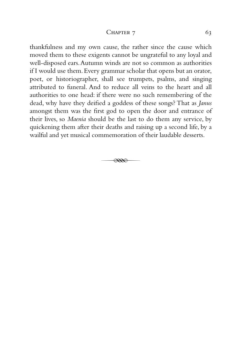### CHAPTER  $7 \t\t 63$

thankfulness and my own cause, the rather since the cause which moved them to these exigents cannot be ungrateful to any loyal and well-disposed ears.Autumn winds are not so common as authorities if I would use them.Every grammar scholar that opens but an orator, poet, or historiographer, shall see trumpets, psalms, and singing attributed to funeral. And to reduce all veins to the heart and all authorities to one head: if there were no such remembering of the dead, why have they deified a goddess of these songs? That as *Janus* amongst them was the first god to open the door and entrance of their lives, so *Maenia* should be the last to do them any service, by quickening them after their deaths and raising up a second life, by a wailful and yet musical commemoration of their laudable desserts.

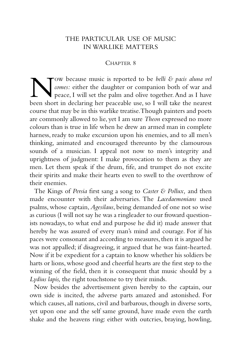# THE PARTICULAR USE OF MUSIC IN WARLIKE MATTERS

### CHAPTER 8

Now because music is reported to be *belli & pacis aluna vel* comes: either the daughter or companion both of war and peace, I will set the palm and olive together. And as I have been short in declaring her peaceable use, *comes:* either the daughter or companion both of war and peace, I will set the palm and olive together.And as I have been short in declaring her peaceable use, so I will take the nearest course that may be in this warlike treatise.Though painters and poets are commonly allowed to lie, yet I am sure *Theon* expressed no more colours than is true in life when he drew an armed man in complete harness, ready to make excursion upon his enemies, and to all men's thinking, animated and encouraged thereunto by the clamourous sounds of a musician. I appeal not now to men's integrity and uprightness of judgment: I make provocation to them as they are men. Let them speak if the drum, fife, and trumpet do not excite their spirits and make their hearts even to swell to the overthrow of their enemies.

The Kings of *Persia* first sang a song to *Caster & Pollux,* and then made encounter with their adversaries. The *Lacedaemonians* used psalms, whose captain,*Agesilaus*, being demanded of one not so wise as curious (I will not say he was a ringleader to our froward questionists nowadays, to what end and purpose he did it) made answer that hereby he was assured of every man's mind and courage. For if his paces were consonant and according to measures, then it is argued he was not appalled; if disagreeing, it argued that he was faint-hearted. Now if it be expedient for a captain to know whether his soldiers be harts or lions, whose good and cheerful hearts are the first step to the winning of the field, then it is consequent that music should by a *Lydius lapis,* the right touchstone to try their minds.

Now besides the advertisement given hereby to the captain, our own side is incited, the adverse parts amazed and astonished. For which causes, all nations, civil and barbarous, though in diverse sorts, yet upon one and the self same ground, have made even the earth shake and the heavens ring: either with outcries, braying, howling,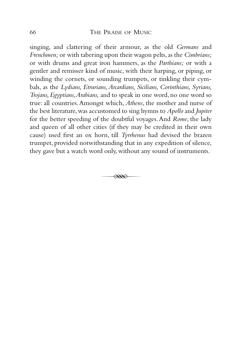## 66 THE PRAISE OF MUSIC

singing, and clattering of their armour, as the old *Germans* and *Frenchmen;* or with tabering upon their wagon pelts, as the *Cimbrians*; or with drums and great iron hammers, as the *Parthians;* or with a gentler and remisser kind of music, with their harping, or piping, or winding the cornets, or sounding trumpets, or tinkling their cymbals, as the *Lydians, Etrurians, Arcardians, Sicilians, Corinthians, Syrians, Trojans, Egyptians,Arabians,* and to speak in one word, no one word so true: all countries.Amongst which, *Athens*, the mother and nurse of the best literature,was accustomed to sing hymns to *Apollo* and *Jupiter* for the better speeding of the doubtful voyages.And *Rome*, the lady and queen of all other cities (if they may be credited in their own cause) used first an ox horn, till *Tyrrhenus* had devised the brazen trumpet, provided notwithstanding that in any expedition of silence, they gave but a watch word only, without any sound of instruments.

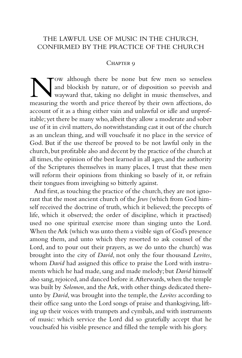# THE LAWFUL USE OF MUSIC IN THE CHURCH, CONFIRMED BY THE PRACTICE OF THE CHURCH

## CHAPTER 9

Now although there be none but few men so senseless<br>and blockish by nature, or of disposition so peevish and<br>measuring the worth and price thereof by their own affections, do and blockish by nature, or of disposition so peevish and wayward that, taking no delight in music themselves, and measuring the worth and price thereof by their own affections, do account of it as a thing either vain and unlawful or idle and unprofitable; yet there be many who, albeit they allow a moderate and sober use of it in civil matters, do notwithstanding cast it out of the church as an unclean thing, and will vouchsafe it no place in the service of God. But if the use thereof be proved to be not lawful only in the church,but profitable also and decent by the practice of the church at all times, the opinion of the best learned in all ages, and the authority of the Scriptures themselves in many places, I trust that these men will reform their opinions from thinking so basely of it, or refrain their tongues from inveighing so bitterly against.

And first, as touching the practice of the church, they are not ignorant that the most ancient church of the *Jews* (which from God himself received the doctrine of truth, which it believed; the precepts of life, which it observed; the order of discipline, which it practised) used no one spiritual exercise more than singing unto the Lord. When the Ark (which was unto them a visible sign of God's presence among them, and unto which they resorted to ask counsel of the Lord, and to pour out their prayers, as we do unto the church) was brought into the city of *David*, not only the four thousand *Levites*, whom *David* had assigned this office to praise the Lord with instruments which he had made, sang and made melody; but *David* himself also sang, rejoiced, and danced before it. Afterwards, when the temple was built by *Solomon*, and the Ark, with other things dedicated thereunto by *David*, was brought into the temple, the *Levites* according to their office sang unto the Lord songs of praise and thanksgiving, lifting up their voices with trumpets and cymbals, and with instruments of music: which service the Lord did so gratefully accept that he vouchsafed his visible presence and filled the temple with his glory.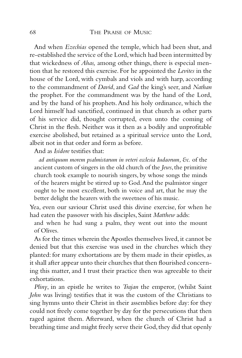And when *Ezechias* opened the temple, which had been shut, and re-established the service of the Lord,which had been intermitted by that wickedness of *Ahas,* among other things, there is especial mention that he restored this exercise. For he appointed the *Levites* in the house of the Lord, with cymbals and viols and with harp, according to the commandment of *David*, and *Gad* the king's seer, and *Nathan* the prophet. For the commandment was by the hand of the Lord, and by the hand of his prophets.And his holy ordinance, which the Lord himself had sanctified, continued in that church as other parts of his service did, thought corrupted, even unto the coming of Christ in the flesh. Neither was it then as a bodily and unprofitable exercise abolished, but retained as a spiritual service unto the Lord, albeit not in that order and form as before.

And as *Isidore* testifies that:

*ad antiquum morem psalmistarum in veteri ecclesia Iudaorum, &c.* of the ancient custom of singers in the old church of the *Jews*, the primitive church took example to nourish singers, by whose songs the minds of the hearers might be stirred up to God.And the psalmistor singer ought to be most excellent, both in voice and art, that he may the better delight the hearers with the sweetness of his music.

Yea, even our saviour Christ used this divine exercise, for when he had eaten the passover with his disciples, Saint *Matthew* adds:

and when he had sung a psalm, they went out into the mount of Olives.

As for the times wherein the Apostles themselves lived, it cannot be denied but that this exercise was used in the churches which they planted: for many exhortations are by them made in their epistles, as it shall after appear unto their churches that then flourished concerning this matter, and I trust their practice then was agreeable to their exhortations.

*Pliny*, in an epistle he writes to *Trajan* the emperor, (whilst Saint *John* was living) testifies that it was the custom of the Christians to sing hymns unto their Christ in their assemblies before day: for they could not freely come together by day for the persecutions that then raged against them. Afterward, when the church of Christ had a breathing time and might freely serve their God, they did that openly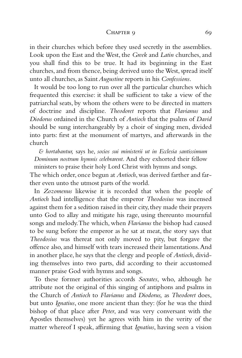#### CHAPTER 9 69

in their churches which before they used secretly in the assemblies. Look upon the East and the West, the *Greek* and *Latin* churches, and you shall find this to be true. It had its beginning in the East churches, and from thence, being derived unto the West, spread itself unto all churches, as Saint*Augustine* reports in his *Confessions*.

It would be too long to run over all the particular churches which frequented this exercise: it shall be sufficient to take a view of the patriarchal seats, by whom the others were to be directed in matters of doctrine and discipline. *Theodoret* reports that *Flavianus* and *Diodorus* ordained in the Church of *Antioch* that the psalms of *David* should be sung interchangeably by a choir of singing men, divided into parts: first at the monument of martyrs, and afterwards in the church

*& hortabantur,* says he, *socios sui ministerii ut in Ecclesia santissimum Dominum nostrum hymnis celebrarent.* And they exhorted their fellow ministers to praise their holy Lord Christ with hymns and songs.

The which order, once begun at *Antioch*, was derived farther and farther even unto the utmost parts of the world.

In *Zozomenus* likewise it is recorded that when the people of *Antioch* had intelligence that the emperor *Theodosius* was incensed against them for a sedition raised in their city, they made their prayers unto God to allay and mitigate his rage, using thereunto mournful songs and melody.The which, when *Flavianus* the bishop had caused to be sung before the emperor as he sat at meat, the story says that *Theodosius* was thereat not only moved to pity, but forgave the offence also, and himself with tears increased their lamentations.And in another place, he says that the clergy and people of *Antioch*, dividing themselves into two parts, did according to their accustomed manner praise God with hymns and songs.

To these former authorities accords *Socrates*, who, although he attribute not the original of this singing of antiphons and psalms in the Church of *Antioch* to *Flavianus* and *Diodorus,* as *Theodoret* does, but unto *Ignatius*, one more ancient than they: (for he was the third bishop of that place after *Peter*, and was very conversant with the Apostles themselves) yet he agrees with him in the verity of the matter whereof I speak, affirming that *Ignatius*, having seen a vision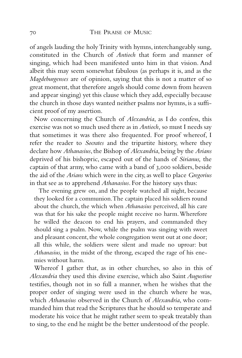of angels lauding the holy Trinity with hymns, interchangeably sung, constituted in the Church of *Antioch* that form and manner of singing, which had been manifested unto him in that vision. And albeit this may seem somewhat fabulous (as perhaps it is, and as the *Magdeburgenses* are of opinion, saying that this is not a matter of so great moment, that therefore angels should come down from heaven and appear singing) yet this clause which they add, especially because the church in those days wanted neither psalms nor hymns, is a sufficient proof of my assertion.

Now concerning the Church of *Alexandria*, as I do confess, this exercise was not so much used there as in *Antioch,* so must I needs say that sometimes it was there also frequented. For proof whereof, I refer the reader to *Socrates* and the tripartite history, where they declare how *Athanasius*,the Bishop of *Alexandria*,being by the *Arians* deprived of his bishopric, escaped out of the hands of *Sirianus,* the captain of that army, who came with a band of 3,000 soldiers, beside the aid of the *Arians* which were in the city, as well to place *Gregorius* in that see as to apprehend *Athanasius*. For the history says thus:

The evening grew on, and the people watched all night, because they looked for a communion.The captain placed his soldiers round about the church, the which when *Athanasius* perceived, all his care was that for his sake the people might receive no harm.Wherefore he willed the deacon to end his prayers, and commanded they should sing a psalm. Now, while the psalm was singing with sweet and pleasant concent, the whole congregation went out at one door; all this while, the soldiers were silent and made no uproar: but *Athanasius,* in the midst of the throng, escaped the rage of his enemies without harm.

Whereof I gather that, as in other churches, so also in this of *Alexandria* they used this divine exercise, which also Saint *Augustine* testifies, though not in so full a manner, when he wishes that the proper order of singing were used in the church where he was, which *Athanasius* observed in the Church of *Alexandria*, who commanded him that read the Scriptures that he should so temperate and moderate his voice that he might rather seem to speak treatably than to sing, to the end he might be the better understood of the people.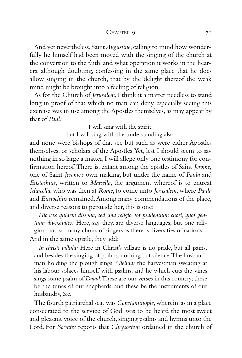### CHAPTER 9 71

And yet nevertheless, Saint*Augustine*, calling to mind how wonderfully he himself had been moved with the singing of the church at the conversion to the faith, and what operation it works in the hearers, although doubting, confessing in the same place that he does allow singing in the church, that by the delight thereof the weak mind might be brought into a feeling of religion.

As for the Church of *Jerusalem*, I think it a matter needless to stand long in proof of that which no man can deny, especially seeing this exercise was in use among the Apostles themselves, as may appear by that of *Paul:*

> I will sing with the spirit, but I will sing with the understanding also.

and none were bishops of that see but such as were either Apostles themselves, or scholars of the Apostles.Yet, lest I should seem to say nothing in so large a matter,I will allege only one testimony for confirmation hereof.There is, extant among the epistles of Saint *Jerome*, one of Saint *Jerome's* own making, but under the name of *Paula* and *Eustochius*, written to *Marcella*, the argument whereof is to entreat *Marcella*, who was then at *Rome*, to come unto *Jerusalem*, where *Paula* and *Eustochius* remained.Among many commendations of the place, and diverse reasons to persuade her, this is one:

*Hic vox quidem dissona, sed una religio, tot psallentium chori, quot gentium diversitates:* Here, say they, are diverse languages, but one religion, and so many choirs of singers as there is diversities of nations. And in the same epistle, they add:

*In christi villula:* Here in Christ's village is no pride, but all pains, and besides the singing of psalms, nothing but silence.The husbandman holding the plough sings *Alleluia;* the harvestman sweating at his labour solaces himself with psalms; and he which cuts the vines sings some psalm of *David*.These are our verses in this country; these be the tunes of our shepherds; and these be the instruments of our husbandry, &c.

The fourth patriarchal seat was *Constantinople*, wherein, as in a place consecrated to the service of God, was to be heard the most sweet and pleasant voice of the church, singing psalms and hymns unto the Lord. For *Socrates* reports that *Chrysostom* ordained in the church of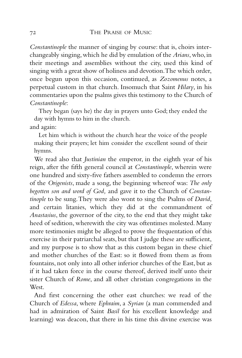*Constantinople* the manner of singing by course: that is, choirs interchangeably singing,which he did by emulation of the *Arians*,who,in their meetings and assemblies without the city, used this kind of singing with a great show of holiness and devotion.The which order, once begun upon this occasion, continued, as *Zozomenus* notes, a perpetual custom in that church. Insomuch that Saint *Hilary*, in his commentaries upon the psalms gives this testimony to the Church of *Constantinople*:

They began (says he) the day in prayers unto God; they ended the day with hymns to him in the church. and again:

Let him which is without the church hear the voice of the people making their prayers; let him consider the excellent sound of their hymns.

We read also that *Justinian* the emperor, in the eighth year of his reign, after the fifth general council at *Constantinople*, wherein were one hundred and sixty-five fathers assembled to condemn the errors of the *Origenists*, made a song, the beginning whereof was: *The only begotten son and word of God,* and gave it to the Church of *Constantinople* to be sung.They were also wont to sing the Psalms of *David*, and certain litanies, which they did at the commandment of *Anastasius*, the governor of the city, to the end that they might take heed of sedition, wherewith the city was oftentimes molested. Many more testimonies might be alleged to prove the frequentation of this exercise in their patriarchal seats, but that I judge these are sufficient, and my purpose is to show that as this custom began in these chief and mother churches of the East: so it flowed from them as from fountains, not only into all other inferior churches of the East, but as if it had taken force in the course thereof, derived itself unto their sister Church of *Rome*, and all other christian congregations in the West.

And first concerning the other east churches: we read of the Church of *Edessa*, where *Ephraim*, a *Syrian* (a man commended and had in admiration of Saint *Basil* for his excellent knowledge and learning) was deacon, that there in his time this divine exercise was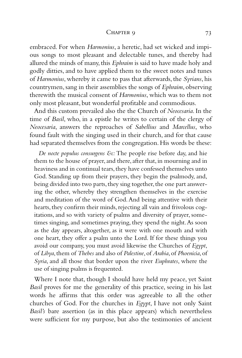#### CHAPTER 9 73

embraced. For when *Harmonius*, a heretic, had set wicked and impious songs to most pleasant and delectable tunes, and thereby had allured the minds of many, this *Ephraim* is said to have made holy and godly ditties, and to have applied them to the sweet notes and tunes of *Harmonius*, whereby it came to pass that afterwards, the *Syrians*, his countrymen, sang in their assemblies the songs of *Ephraim*, observing therewith the musical consent of *Harmonius*, which was to them not only most pleasant, but wonderful profitable and commodious.

And this custom prevailed also the the Church of *Neocesaria*. In the time of *Basil*, who, in a epistle he writes to certain of the clergy of *Neocesaria*, answers the reproaches of *Sabellius* and *Marcellus*, who found fault with the singing used in their church, and for that cause had separated themselves from the congregation. His words be these:

*De nocte populus consurgens &c:* The people rise before day, and hie them to the house of prayer, and there, after that, in mourning and in heaviness and in continual tears, they have confessed themselves unto God. Standing up from their prayers, they begin the psalmody, and, being divided into two parts, they sing together, the one part answering the other, whereby they strengthen themselves in the exercise and meditation of the word of God.And being attentive with their hearts, they confirm their minds, rejecting all vain and frivolous cogitations, and so with variety of psalms and diversity of prayer, sometimes singing, and sometimes praying, they spend the night.As soon as the day appears, altogether, as it were with one mouth and with one heart, they offer a psalm unto the Lord. If for these things you avoid our company, you must avoid likewise the Churches of *Egypt*, of *Libya*,them of *Thebes* and also of *Palestine*,of *Arabia*,of *Phoenicia*,of *Syria*, and all those that border upon the river *Euphrates*, where the use of singing psalms is frequented.

Where I note that, though I should have held my peace, yet Saint *Basil* proves for me the generality of this practice, seeing in his last words he affirms that this order was agreeable to all the other churches of God. For the churches in *Egypt*, I have not only Saint *Basil's* bare assertion (as in this place appears) which nevertheless were sufficient for my purpose, but also the testimonies of ancient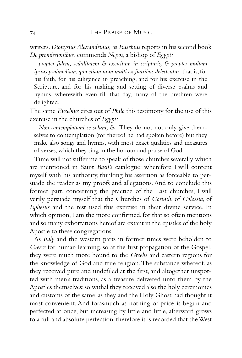writers.*Dionysius Alexandrinus,* as *Eusebius* reports in his second book *De promissionibus,* commends *Nepos*, a bishop of *Egypt:*

*propter fidem, sedulitatem & exercitum in scripturis, & propter multam ipsius psalmodiam,qua etiam num multi ex fratribus delectentur:* that is,for his faith, for his diligence in preaching, and for his exercise in the Scripture, and for his making and setting of diverse psalms and hymns, wherewith even till that day, many of the brethren were delighted.

The same *Eusebius* cites out of *Philo* this testimony for the use of this exercise in the churches of *Egypt:*

*Non contemplationi se solum, &c.* They do not not only give themselves to contemplation (for thereof he had spoken before) but they make also songs and hymns, with most exact qualities and measures of verses, which they sing in the honour and praise of God.

Time will not suffer me to speak of those churches severally which are mentioned in Saint *Basil's* catalogue; wherefore I will content myself with his authority, thinking his assertion as forceable to persuade the reader as my proofs and allegations. And to conclude this former part, concerning the practice of the East churches, I will verily persuade myself that the Churches of *Corinth*, of *Colossia*, of *Ephesus* and the rest used this exercise in their divine service. In which opinion, I am the more confirmed, for that so often mentions and so many exhortations hereof are extant in the epistles of the holy Apostle to these congregations.

As *Italy* and the western parts in former times were beholden to *Greece* for human learning, so at the first propagation of the Gospel, they were much more bound to the *Greeks* and eastern regions for the knowledge of God and true religion.The substance whereof, as they received pure and undefiled at the first, and altogether unspotted with men's traditions, as a treasure delivered unto them by the Apostles themselves;so withal they received also the holy ceremonies and customs of the same, as they and the Holy Ghost had thought it most convenient. And forasmuch as nothing of price is begun and perfected at once, but increasing by little and little, afterward grows to a full and absolute perfection: therefore it is recorded that the West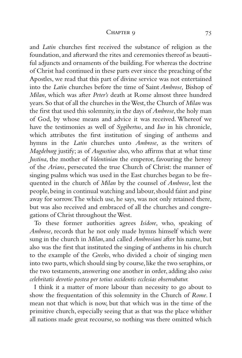#### CHAPTER 9 75

and *Latin* churches first received the substance of religion as the foundation, and afterward the rites and ceremonies thereof as beautiful adjuncts and ornaments of the building. For whereas the doctrine of Christ had continued in these parts ever since the preaching of the Apostles, we read that this part of divine service was not entertained into the *Latin* churches before the time of Saint *Ambrose,* Bishop of *Milan*, which was after *Peter's* death at Rome almost three hundred years. So that of all the churches in the West, the Church of *Milan* was the first that used this solemnity, in the days of *Ambrose*, the holy man of God, by whose means and advice it was received. Whereof we have the testimonies as well of *Sygibertus*, and *Iuo* in his chronicle, which attributes the first institution of singing of anthems and hymns in the *Latin* churches unto *Ambrose*, as the writers of *Magdeburg* justify; as of *Augustine* also, who affirms that at what time *Justina*, the mother of *Valentinian* the emperor, favouring the heresy of the *Arians*, persecuted the true Church of Christ: the manner of singing psalms which was used in the East churches began to be frequented in the church of *Milan* by the counsel of *Ambrose*, lest the people, being in continual watching and labour, should faint and pine away for sorrow.The which use, he says, was not only retained there, but was also received and embraced of all the churches and congregations of Christ throughout the West.

To these former authorities agrees *Isidore*, who, speaking of *Ambrose*, records that he not only made hymns himself which were sung in the church in *Milan*, and called *Ambrosiani* after his name, but also was the first that instituted the singing of anthems in his church to the example of the *Greeks*, who divided a choir of singing men into two parts, which should sing by course, like the two seraphins, or the two testaments, answering one another in order, adding also *cuius celebritatis devotio postea per totius occidentis ecclesias observabatur.*

I think it a matter of more labour than necessity to go about to show the frequentation of this solemnity in the Church of *Rome*. I mean not that which is now, but that which was in the time of the primitive church, especially seeing that as that was the place whither all nations made great recourse, so nothing was there omitted which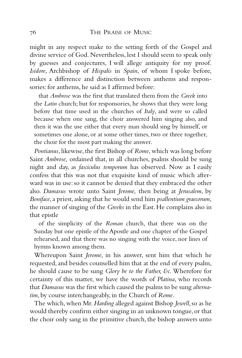might in any respect make to the setting forth of the Gospel and divine service of God. Nevertheless, lest I should seem to speak only by guesses and conjectures, I will allege antiquity for my proof. *Isidore*, Archbishop of *Hispalis* in *Spain*, of whom I spoke before, makes a difference and distinction between anthems and responsories: for anthems, he said as I affirmed before:

that *Ambrose* was the first that translated them from the *Greek* into the *Latin* church; but for responsories, he shows that they were long before that time used in the churches of *Italy*, and were so called because when one sang, the choir answered him singing also, and then it was the use either that every man should sing by himself, or sometimes one alone, or at some other times, two or three together, the choir for the most part making the answer.

*Pontianus*, likewise, the first Bishop of *Rome*, which was long before Saint *Ambrose,* ordained that, in all churches, psalms should be sung night and day, as *fasciculus temporum* has observed. Now as I easily confess that this was not that exquisite kind of music which afterward was in use: so it cannot be denied that they embraced the other also. *Damasus* wrote unto Saint *Jerome,* then being at *Jerusalem*, by *Boniface*, a priest, asking that he would send him *psallentium graecorum,* the manner of singing of the *Greeks* in the East. He complains also in that epistle

of the simplicity of the *Roman* church, that there was on the Sunday but one epistle of the Apostle and one chapter of the Gospel rehearsed, and that there was no singing with the voice, nor lines of hymns known among them.

Whereupon Saint *Jerome*, in his answer, sent him that which he requested, and besides counselled him that at the end of every psalm, he should cause to be sung *Glory be to the Father, &c.* Wherefore for certainty of this matter, we have the words of *Platina*, who records that *Damasus* was the first which caused the psalms to be sung *alternatim*, by course interchangeably, in the Church of *Rome*.

The which,when Mr.*Harding* alleged against Bishop *Jewell*,so as he would thereby confirm either singing in an unknown tongue, or that the choir only sang in the primitive church, the bishop answers unto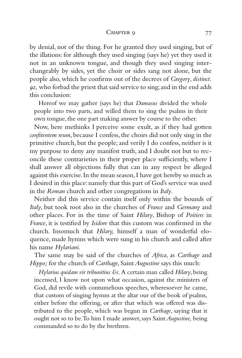#### CHAPTER 9 77

by denial, not of the thing. For he granted they used singing, but of the illations: for although they used singing (says he) yet they used it not in an unknown tongue, and though they used singing interchangeably by sides, yet the choir or sides sang not alone, but the people also, which he confirms out of the decrees of *Gregory*, *distinct. 92,* who forbad the priest that said service to sing;and in the end adds this conclusion:

Hereof we may gather (says he) that *Damasus* divided the whole people into two parts, and willed them to sing the psalms in their own tongue, the one part making answer by course to the other.

Now, here methinks I perceive some exult, as if they had gotten *confitentem reum*, because I confess, the choirs did not only sing in the primitive church, but the people; and verily I do confess, neither is it my purpose to deny any manifest truth, and I doubt not but to reconcile these contrarieties in their proper place sufficiently, where I shall answer all objections fully that can in any respect be alleged against this exercise.In the mean season,I have got hereby so much as I desired in this place: namely that this part of God's service was used in the *Roman* church and other congregations in *Italy*.

Neither did this service contain itself only within the bounds of *Italy*, but took root also in the churches of *France* and *Germany* and other places. For in the time of Saint *Hilary*, Bishop of *Poitiers* in *France*, it is testified by *Isidore* that this custom was confirmed in the church. Insomuch that *Hilary,* himself a man of wonderful eloquence, made hymns which were sung in his church and called after his name *Hylariani*.

The same may be said of the churches of *Africa*, as *Carthage* and *Hippo;* for the church of *Carthage,* Saint*Augustine* says this much:

*Hylarius quidam vir tribunitius &c.*A certain man called *Hilary*, being incensed, I know not upon what occasion, against the ministers of God, did revile with contumelious speeches, wheresoever he came, that custom of singing hymns at the altar our of the book of psalms, either before the offering, or after that which was offered was distributed to the people, which was begun in *Carthage*, saying that it ought not so to be.To him I made answer, says Saint*Augustine,* being commanded so to do by the brethren.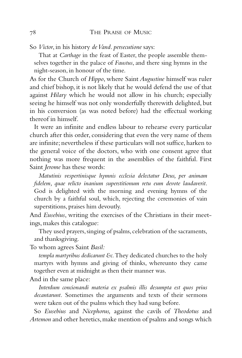So *Victor*, in his history *de Vand. persecutione* says:

That at *Carthage* in the feast of Easter, the people assemble themselves together in the palace of *Faustus*, and there sing hymns in the night-season, in honour of the time.

As for the Church of *Hippo*, where Saint *Augustine* himself was ruler and chief bishop, it is not likely that he would defend the use of that against *Hilary* which he would not allow in his church; especially seeing he himself was not only wonderfully therewith delighted, but in his conversion (as was noted before) had the effectual working thereof in himself.

It were an infinite and endless labour to rehearse every particular church after this order, considering that even the very name of them are infinite; nevertheless if these particulars will not suffice, harken to the general voice of the doctors, who with one consent agree that nothing was more frequent in the assemblies of the faithful. First Saint *Jerome* has these words:

*Matutinis vespertinisque hymnis ecclesia delectatur Deus, per animam fidelem, quae relicto inanium superstitionum retu eum devote laudaverit*. God is delighted with the morning and evening hymns of the church by a faithful soul, which, rejecting the ceremonies of vain superstitions, praises him devoutly.

And *Eusebius*, writing the exercises of the Christians in their meetings, makes this catalogue:

They used prayers, singing of psalms, celebration of the sacraments, and thanksgiving.

To whom agrees Saint *Basil:*

*templa martyribus dedicarunt &c.*They dedicated churches to the holy martyrs with hymns and giving of thinks, whereunto they came together even at midnight as then their manner was.

And in the same place:

*Interdum concionandi materia ex psalmis illis desumpta est quos prius decantarunt.* Sometimes the arguments and texts of their sermons were taken out of the psalms which they had sung before.

So *Eusebius* and *Nicephorus,* against the cavils of *Theodotus* and *Artemon* and other heretics,make mention of psalms and songs which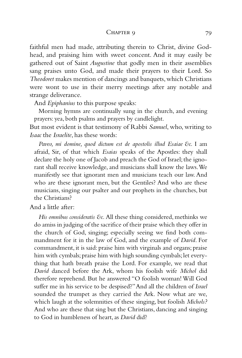#### CHAPTER 9 79

faithful men had made, attributing therein to Christ, divine Godhead, and praising him with sweet concent. And it may easily be gathered out of Saint *Augustine* that godly men in their assemblies sang praises unto God, and made their prayers to their Lord. So *Theodoret* makes mention of dancings and banquets,which Christians were wont to use in their merry meetings after any notable and strange deliverance.

And *Epiphanius* to this purpose speaks:

Morning hymns are continually sung in the church, and evening prayers: yea, both psalms and prayers by candlelight.

But most evident is that testimony of Rabbi *Samuel*, who, writing to *Isaac* the *Israelite*, has these words:

*Paveo, mi domine, quod dictum est de apostolis illud Esaiae &c.* I am afraid, Sir, of that which *Esaias* speaks of the Apostles: they shall declare the holy one of Jacob and preach the God of Israel; the ignorant shall receive knowledge, and musicians shall know the laws.We manifestly see that ignorant men and musicians teach our law. And who are these ignorant men, but the Gentiles? And who are these musicians, singing our psalter and our prophets in the churches, but the Christians?

And a little after:

*His omnibus consideratis &c.* All these thing considered, methinks we do amiss in judging of the sacrifice of their praise which they offer in the church of God, singing; especially seeing we find both commandment for it in the law of God, and the example of *David*. For commandment, it is said: praise him with virginals and organs; praise him with cymbals; praise him with high sounding cymbals; let everything that hath breath praise the Lord. For example, we read that *David* danced before the Ark, whom his foolish wife *Michol* did therefore reprehend. But he answered "O foolish woman! Will God suffer me in his service to be despised?"And all the children of *Israel* sounded the trumpet as they carried the Ark. Now what are we, which laugh at the solemnities of these singing, but foolish *Michols?* And who are these that sing but the Christians, dancing and singing to God in humbleness of heart, as *David* did?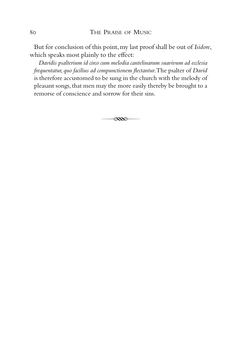But for conclusion of this point,my last proof shall be out of *Isidore*, which speaks most plainly to the effect:

*Davidis psalterium id circo cum melodia cantelinarum suavivum ad ecclesia frequentatur,quo facilius ad compunctionem flectantur*.The psalter of *David* is therefore accustomed to be sung in the church with the melody of pleasant songs, that men may the more easily thereby be brought to a remorse of conscience and sorrow for their sins.

 $\overline{\mathscr{R}}$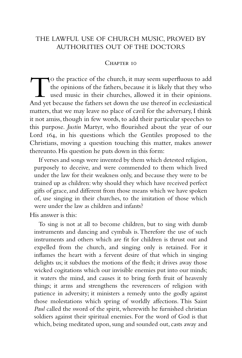## THE LAWFUL USE OF CHURCH MUSIC, PROVED BY AUTHORITIES OUT OF THE DOCTORS

### CHAPTER 10

T<sup>o</sup> the practice of the church, it may seem superfluous to add the opinions of the fathers, because it is likely that they who used music in their churches, allowed it in their opinions. And yet because the fathers set down the use thereof in ecclesiastical matters, that we may leave no place of cavil for the adversary, I think it not amiss, though in few words, to add their particular speeches to this purpose. *Justin* Martyr, who flourished about the year of our Lord 164, in his questions which the Gentiles proposed to the Christians, moving a question touching this matter, makes answer thereunto. His question he puts down in this form:

If verses and songs were invented by them which detested religion, purposely to deceive, and were commended to them which lived under the law for their weakness only, and because they were to be trained up as children: why should they which have received perfect gifts of grace, and different from those means which we have spoken of, use singing in their churches, to the imitation of those which were under the law as children and infants?

His answer is this:

To sing is not at all to become children, but to sing with dumb instruments and dancing and cymbals is.Therefore the use of such instruments and others which are fit for children is thrust out and expelled from the church, and singing only is retained. For it inflames the heart with a fervent desire of that which in singing delights us; it subdues the motions of the flesh; it drives away those wicked cogitations which our invisible enemies put into our minds; it waters the mind, and causes it to bring forth fruit of heavenly things; it arms and strengthens the reverencers of religion with patience in adversity; it ministers a remedy unto the godly against those molestations which spring of worldly affections. This Saint *Paul* called the sword of the spirit, wherewith he furnished christian soldiers against their spiritual enemies. For the word of God is that which, being meditated upon, sung and sounded out, casts away and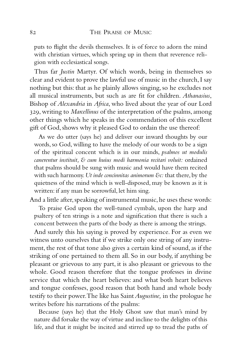puts to flight the devils themselves. It is of force to adorn the mind with christian virtues, which spring up in them that reverence religion with ecclesiastical songs.

Thus far *Justin* Martyr. Of which words, being in themselves so clear and evident to prove the lawful use of music in the church,I say nothing but this: that as he plainly allows singing, so he excludes not all musical instruments, but such as are fit for children. *Athanasius*, Bishop of *Alexandria* in *Africa*, who lived about the year of our Lord 329, writing to *Marcellinus* of the interpretation of the psalms, among other things which he speaks in the commendation of this excellent gift of God, shows why it pleased God to ordain the use thereof:

As we do utter (says he) and deliver our inward thoughts by our words, so God, willing to have the melody of our words to be a sign of the spiritual concent which is in our minds, *psalmos ut modulis canerentur instituit, & cum huius modi harmonia recitari voluit:* ordained that psalms should be sung with music and would have them recited with such harmony. Ut inde concinnitas animorum &c: that there, by the quietness of the mind which is well-disposed, may be known as it is written: if any man be sorrowful, let him sing.

And a little after, speaking of instrumental music, he uses these words:

To praise God upon the well-tuned cymbals, upon the harp and psaltery of ten strings is a note and signification that there is such a concent between the parts of the body as there is among the strings.

And surely this his saying is proved by experience. For as even we witness unto ourselves that if we strike only one string of any instrument, the rest of that tone also gives a certain kind of sound, as if the striking of one pertained to them all. So in our body, if anything be pleasant or grievous to any part, it is also pleasant or grievous to the whole. Good reason therefore that the tongue professes in divine service that which the heart believes: and what both heart believes and tongue confesses, good reason that both hand and whole body testify to their power.The like has Saint*Augustine,* in the prologue he writes before his narrations of the psalms:

Because (says he) that the Holy Ghost saw that man's mind by nature did forsake the way of virtue and incline to the delights of this life, and that it might be incited and stirred up to tread the paths of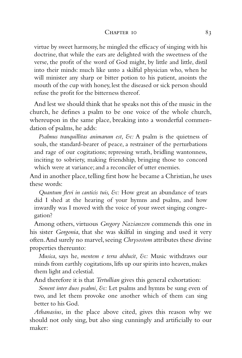#### CHAPTER 10 83

virtue by sweet harmony, he mingled the efficacy of singing with his doctrine, that while the ears are delighted with the sweetness of the verse, the profit of the word of God might, by little and little, distil into their minds: much like unto a skilful physician who, when he will minister any sharp or bitter potion to his patient, anoints the mouth of the cup with honey, lest the diseased or sick person should refuse the profit for the bitterness thereof.

And lest we should think that he speaks not this of the music in the church, he defines a psalm to be one voice of the whole church, whereupon in the same place, breaking into a wonderful commendation of psalms, he adds:

*Psalmus tranquillitas animarum est, &c:* A psalm is the quietness of souls, the standard-bearer of peace, a restrainer of the perturbations and rage of our cogitations; repressing wrath, bridling wantonness, inciting to sobriety, making friendship, bringing those to concord which were at variance; and a reconciler of utter enemies.

And in another place, telling first how he became a Christian, he uses these words:

*Quantum flevi in canticis tuis, &c:* How great an abundance of tears did I shed at the hearing of your hymns and psalms, and how inwardly was I moved with the voice of your sweet singing congregation?

Among others, virtuous *Gregory Nazianzen* commends this one in his sister *Gorgonia*, that she was skilful in singing and used it very often. And surely no marvel, seeing *Chrysostom* attributes these divine properties thereunto:

*Musica*, says he, *mentem e terra abducit, &c:* Music withdraws our minds from earthly cogitations, lifts up our spirits into heaven, makes them light and celestial.

And therefore it is that *Tertullian* gives this general exhortation:

*Sonent inter duos psalmi, &c:* Let psalms and hymns be sung even of two, and let them provoke one another which of them can sing better to his God.

*Athanasius*, in the place above cited, gives this reason why we should not only sing, but also sing cunningly and artificially to our maker: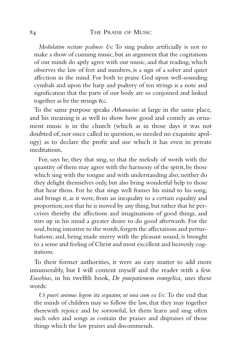*Modulatim recitare psalmos &c*: To sing psalms artificially is not to make a show of cunning music, but an argument that the cogitations of our minds do aptly agree with our music, and that reading, which observes the law of feet and numbers, is a sign of a sober and quiet affection in the mind. For both to praise God upon well-sounding cymbals and upon the harp and psaltery of ten strings is a note and signification that the parts of our body are so conjoined and linked together as be the strings &c.

To the same purpose speaks *Athanasius* at large in the same place, and his meaning is as well to show how good and comely an ornament music is in the church (which as in those days it was not doubted of, nor once called in question, so needed no exquisite apology) as to declare the profit and use which it has even in private meditations.

For, says he, they that sing, so that the melody of words with the quantity of them may agree with the harmony of the spirit, be those which sing with the tongue and with understanding also; neither do they delight themselves only, but also bring wonderful help to those that hear them. For he that sings well frames his mind to his song, and brings it, as it were, from an inequality to a certain equality and proportion; not that he is moved by any thing, but rather that he perceives thereby the affections and imaginations of good things, and stirs up in his mind a greater desire to do good afterwards. For the soul, being intentive to the words, forgets the affectations and perturbations; and, being made merry with the pleasant sound, is brought to a sense and feeling of Christ and most excellent and heavenly cogitations.

To their former authorities, it were an easy matter to add more innumerably, but I will content myself and the reader with a few. *Eusebius*, in his twelfth book, *De praepationem evangelica,* uses these words:

*Ut pueri animus legem ita sequatur, ut una cum ea &c:* To the end that the minds of children may so follow the law, that they may together therewith rejoice and be sorrowful, let them learn and sing often such odes and songs as contain the praises and dispraises of those things which the law praises and discommends.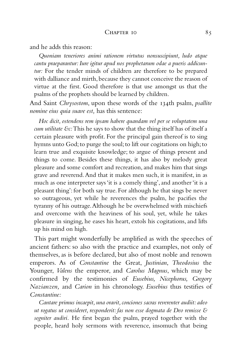and he adds this reason:

*Quoniam teneriores animi rationem virtutus nonsuscipiunt, ludo atque cantu praeparantur: Iure igitur apud nos prophetarum odae a pueris addicuntur:* For the tender minds of children are therefore to be prepared with dalliance and mirth, because they cannot conceive the reason of virtue at the first. Good therefore is that use amongst us that the psalms of the prophets should be learned by children.

And Saint *Chrysostom*, upon these words of the 134th psalm, *psallite nomine eius quia suave est,* has this sentence:

*Hoc dicit, ostendens rem ipsam habere quandam vel per se voluptatem una cum utilitate &c:*This he says to show that the thing itself has of itself a certain pleasure with profit. For the principal gain thereof is to sing hymns unto God; to purge the soul; to lift our cogitations on high; to learn true and exquisite knowledge; to argue of things present and things to come. Besides these things, it has also by melody great pleasure and some comfort and recreation, and makes him that sings grave and reverend.And that it makes men such, it is manifest, in as much as one interpreter says 'it is a comely thing', and another 'it is a pleasant thing': for both say true. For although he that sings be never so outrageous, yet while he reverences the psalm, he pacifies the tyranny of his outrage.Although he be overwhelmed with mischiefs and overcome with the heaviness of his soul, yet, while he takes pleasure in singing, he eases his heart, extols his cogitations, and lifts up his mind on high.

This part might wonderfully be amplified as with the speeches of ancient fathers: so also with the practice and examples, not only of themselves, as is before declared, but also of most noble and renown emperors. As of *Constantine* the Great, *Justinian*, *Theodosius* the Younger, *Valens* the emperor, and *Carolus Magnus*, which may be confirmed by the testimonies of *Eusebius, Nicephorus, Gregory Nazianzen,* and *Carion* in his chronology. *Eusebius* thus testifies of *Constantine:*

*Cantare primus incaepit,una oravit,conciones sacras reverenter audiit:adeo ut rogatus ut consideret, responderit: fas non esse dogmata de Deo remisse & segniter audiri.* He first began the psalm, prayed together with the people, heard holy sermons with reverence, insomuch that being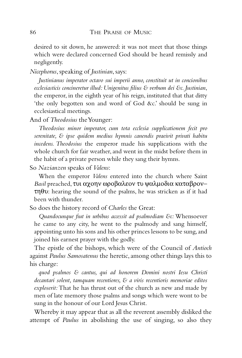desired to sit down, he answered: it was not meet that those things which were declared concerned God should be heard remissly and negligently.

*Nicephorus*, speaking of *Justinian*, says:

*Justinianus imperator octavo sui imperii anno, constituit ut in concionibus ecclesiasticis concineretur illud: Unigenitus filius & verbum dei &c. Justinian*, the emperor, in the eighth year of his reign, instituted that that ditty 'the only begotten son and word of God &c.' should be sung in ecclesiastical meetings.

And of *Theodosius* the Younger:

*Theodosius minor imperator, cum tota ecclesia supplicationem fecit pro serenitate, & ipse quidem medius hymnis canendis praeivit privati habitu incedens. Theodosius* the emperor made his supplications with the whole church for fair weather, and went in the midst before them in the habit of a private person while they sang their hymns.

So *Nazianzen* speaks of *Valens*:

When the emperor *Valens* entered into the church where Saint *Basil* preached, τυι αχοην ωροβαλεον τυ ψαλµοδια καταβρον− τηθυ: hearing the sound of the psalms, he was stricken as if it had been with thunder.

So does the history record of *Charles* the Great:

*Quandocunque fiut in urbibus accessit ad psalmodiam &c:* Whensoever he came to any city, he went to the psalmody and sang himself, appointing unto his sons and his other princes lessons to be sung, and joined his earnest prayer with the godly.

The epistle of the bishops, which were of the Council of *Antioch* against *Paulus Samosatenus* the heretic, among other things lays this to his charge:

*quod psalmos & cantus, qui ad honorem Domini nostri Iesu Christi decantari solent, tamquam recentiores, & a viris recentioris memoriae editos exploserit:* That he has thrust out of the church as new and made by men of late memory those psalms and songs which were wont to be sung in the honour of our Lord Jesus Christ.

Whereby it may appear that as all the reverent assembly disliked the attempt of *Paulus* in abolishing the use of singing, so also they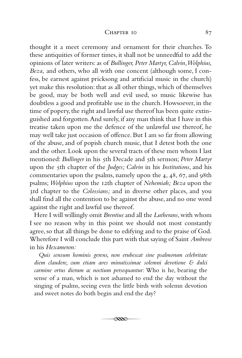#### CHAPTER 10 87

thought it a meet ceremony and ornament for their churches. To these antiquities of former times, it shall not be unneedful to add the opinions of later writers: as of *Bullinger, Peter Martyr, Calvin,Wolphius, Beza,* and others, who all with one concent (although some, I confess, be earnest against pricksong and artificial music in the church) yet make this resolution: that as all other things, which of themselves be good, may be both well and evil used, so music likewise has doubtless a good and profitable use in the church. Howsoever, in the time of popery, the right and lawful use thereof has been quite extinguished and forgotten.And surely, if any man think that I have in this treatise taken upon me the defence of the unlawful use thereof, he may well take just occasion of offence. But I am so far from allowing of the abuse, and of popish church music, that I detest both the one and the other. Look upon the several tracts of these men whom I last mentioned: *Bullinger* in his 5th Decade and 5th sermon; *Peter Martyr* upon the 5th chapter of the *Judges; Calvin* in his *Institutions*, and his commentaries upon the psalms, namely upon the 4, 48, 67, and 98th psalms; *Wolphius* upon the 12th chapter of *Nehemiah; Beza* upon the 3rd chapter to the *Colossians;* and in diverse other places, and you shall find all the contention to be against the abuse, and no one word against the right and lawful use thereof.

Here I will willingly omit *Brentius* and all the *Lutherans*, with whom I see no reason why in this point we should not most constantly agree, so that all things be done to edifying and to the praise of God. Wherefore I will conclude this part with that saying of Saint *Ambrose* in his *Hexameron:*

*Quis sensum hominis gerens, non erubescat sine psalmorum celebritate diem claudere, cum etiam aves minutissimae solemni devotione & dulci carmine ortus dierum ac noctium persequantur:* Who is he, bearing the sense of a man, which is not ashamed to end the day without the singing of psalms, seeing even the little birds with solemn devotion and sweet notes do both begin and end the day?

 $\overline{\mathscr{R}}$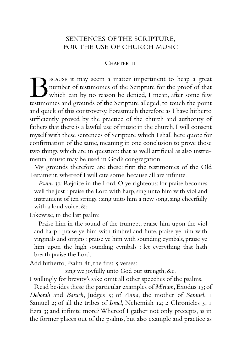## SENTENCES OF THE SCRIPTURE, FOR THE USE OF CHURCH MUSIC

### CHAPTER II

BECAUSE it may seem a matter impertinent to heap a great<br>number of testimonies of the Scripture for the proof of that<br>testimonies and grounds of the Scripture alleged, to touch the point number of testimonies of the Scripture for the proof of that which can by no reason be denied, I mean, after some few testimonies and grounds of the Scripture alleged, to touch the point and quick of this controversy. Forasmuch therefore as I have hitherto sufficiently proved by the practice of the church and authority of fathers that there is a lawful use of music in the church,I will consent myself with these sentences of Scripture which I shall here quote for confirmation of the same, meaning in one conclusion to prove those two things which are in question: that as well artificial as also instrumental music may be used in God's congregation.

My grounds therefore are these: first the testimonies of the Old Testament, whereof I will cite some, because all are infinite.

*Psalm 33:* Rejoice in the Lord, O ye righteous: for praise becomes well the just : praise the Lord with harp, sing unto him with viol and instrument of ten strings : sing unto him a new song, sing cheerfully with a loud voice, &c.

Likewise, in the last psalm:

Praise him in the sound of the trumpet, praise him upon the viol and harp : praise ye him with timbrel and flute, praise ye him with virginals and organs : praise ye him with sounding cymbals, praise ye him upon the high sounding cymbals : let everything that hath breath praise the Lord.

Add hitherto, Psalm 81, the first 5 verses:

sing we joyfully unto God our strength, &c.

I willingly for brevity's sake omit all other speeches of the psalms.

Read besides these the particular examples of *Miriam*,Exodus 15;of *Deborah* and *Baruch*, Judges 5; of *Anna*, the mother of *Samuel*, 1 Samuel 2; of all the tribes of *Israel*, Nehemiah 12; 2 Chronicles 5; 1 Ezra 3; and infinite more? Whereof I gather not only precepts, as in the former places out of the psalms, but also example and practice as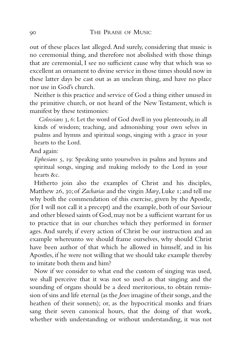out of these places last alleged.And surely, considering that music is no ceremonial thing, and therefore not abolished with those things that are ceremonial, I see no sufficient cause why that which was so excellent an ornament to divine service in those times should now in these latter days be cast out as an unclean thing, and have no place nor use in God's church.

Neither is this practice and service of God a thing either unused in the primitive church, or not heard of the New Testament, which is manifest by these testimonies:

*Colossians* 3, 6: Let the word of God dwell in you plenteously, in all kinds of wisdom; teaching, and admonishing your own selves in psalms and hymns and spiritual songs, singing with a grace in your hearts to the Lord.

And again:

*Ephesians* 5, 19: Speaking unto yourselves in psalms and hymns and spiritual songs, singing and making melody to the Lord in your hearts &c.

Hitherto join also the examples of Christ and his disciples, Matthew 26, 30;of *Zacharias* and the virgin *Mary*,Luke 1;and tell me why both the commendation of this exercise, given by the Apostle, (for I will not call it a precept) and the example, both of our Saviour and other blessed saints of God,may not be a sufficient warrant for us to practice that in our churches which they performed in former ages. And surely, if every action of Christ be our instruction and an example whereunto we should frame ourselves, why should Christ have been author of that which he allowed in himself, and in his Apostles, if he were not willing that we should take example thereby to imitate both them and him?

Now if we consider to what end the custom of singing was used, we shall perceive that it was not so used as that singing and the sounding of organs should be a deed meritorious, to obtain remission of sins and life eternal (as the *Jews* imagine of their songs,and the heathen of their sonnets); or, as the hypocritical monks and friars sang their seven canonical hours, that the doing of that work, whether with understanding or without understanding, it was not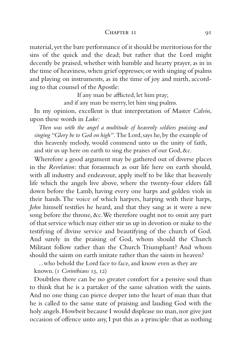#### CHAPTER II 91

material,yet the bare performance of it should be meritorious for the sins of the quick and the dead; but rather that the Lord might decently be praised, whether with humble and hearty prayer, as in in the time of heaviness,when grief oppresses;or with singing of psalms and playing on instruments, as in the time of joy and mirth, according to that counsel of the Apostle:

If any man be afflicted, let him pray;

and if any man be merry, let him sing psalms.

In my opinion, excellent is that interpretation of Master *Calvin*, upon these words in *Luke:*

*Then was with the angel a multitude of heavenly soldiers praising and singing "Glory be to God on high".*The Lord,says he,by the example of this heavenly melody, would commend unto us the unity of faith, and stir us up here on earth to sing the praises of our God, &c.

Wherefore a good argument may be gathered out of diverse places in the *Revelation:* that forasmuch as our life here on earth should, with all industry and endeavour, apply itself to be like that heavenly life which the angels live above, where the twenty-four elders fall down before the Lamb, having every one harps and golden viols in their hands.The voice of which harpers, harping with their harps, *John* himself testifies he heard, and that they sang as it were a new song before the throne, &c.We therefore ought not to omit any part of that service which may either stir us up in devotion or make to the testifying of divine service and beautifying of the church of God. And surely in the praising of God, whom should the Church Militant follow rather than the Church Triumphant? And whom should the saints on earth imitate rather than the saints in heaven?

...who behold the Lord face to face, and know even as they are known. (1 *Corinthians* 13, 12)

Doubtless there can be no greater comfort for a pensive soul than to think that he is a partaker of the same salvation with the saints. And no one thing can pierce deeper into the heart of man than that he is called to the same state of praising and lauding God with the holy angels. Howbeit because I would displease no man, nor give just occasion of offence unto any, I put this as a principle: that as nothing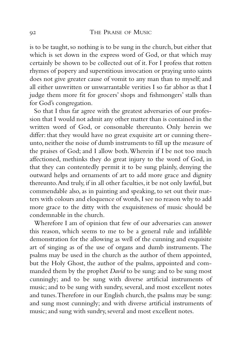is to be taught, so nothing is to be sung in the church, but either that which is set down in the express word of God, or that which may certainly be shown to be collected out of it. For I profess that rotten rhymes of popery and superstitious invocation or praying unto saints does not give greater cause of vomit to any man than to myself; and all either unwritten or unwarrantable verities I so far abhor as that I judge them more fit for grocers' shops and fishmongers' stalls than for God's congregation.

So that I thus far agree with the greatest adversaries of our profession that I would not admit any other matter than is contained in the written word of God, or consonable thereunto. Only herein we differ: that they would have no great exquisite art or cunning thereunto, neither the noise of dumb instruments to fill up the measure of the praises of God; and I allow both.Wherein if I be not too much affectioned, methinks they do great injury to the word of God, in that they can contentedly permit it to be sung plainly, denying the outward helps and ornaments of art to add more grace and dignity thereunto.And truly, if in all other faculties, it be not only lawful, but commendable also, as in painting and speaking, to set out their matters with colours and eloquence of words,I see no reason why to add more grace to the ditty with the exquisiteness of music should be condemnable in the church.

Wherefore I am of opinion that few of our adversaries can answer this reason, which seems to me to be a general rule and infallible demonstration for the allowing as well of the cunning and exquisite art of singing as of the use of organs and dumb instruments. The psalms may be used in the church as the author of them appointed, but the Holy Ghost, the author of the psalms, appointed and commanded them by the prophet *David* to be sung: and to be sung most cunningly; and to be sung with diverse artificial instruments of music; and to be sung with sundry, several, and most excellent notes and tunes.Therefore in our English church, the psalms may be sung: and sung most cunningly; and with diverse artificial instruments of music; and sung with sundry, several and most excellent notes.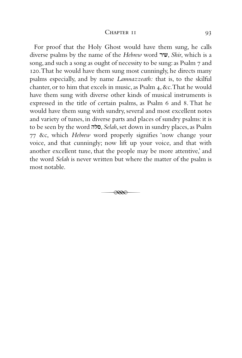#### CHAPTER II 93

For proof that the Holy Ghost would have them sung, he calls diverse psalms by the name of the *Hebrew* word  $w$ , *Shir*, which is a song, and such a song as ought of necessity to be sung: as Psalm 7 and 120.That he would have them sung most cunningly, he directs many psalms especially, and by name *Lamnazzeath:* that is, to the skilful chanter, or to him that excels in music, as Psalm 4, &c.That he would have them sung with diverse other kinds of musical instruments is expressed in the title of certain psalms, as Psalm 6 and 8. That he would have them sung with sundry, several and most excellent notes and variety of tunes, in diverse parts and places of sundry psalms: it is to be seen by the word hls, *Selah*,set down in sundry places,as Psalm 77 &c, which *Hebrew* word properly signifies 'now change your voice, and that cunningly; now lift up your voice, and that with another excellent tune, that the people may be more attentive,' and the word *Selah* is never written but where the matter of the psalm is most notable.

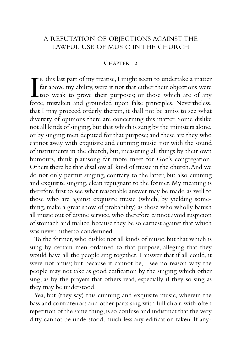## A REFUTATION OF OBJECTIONS AGAINST THE LAWFUL USE OF MUSIC IN THE CHURCH

### CHAPTER 12

In this last part of my treatise, I might seem to undertake a matter far above my ability, were it not that either their objections were too weak to prove their purposes; or those which are of any force, mistaken and groun  $\blacktriangleright$  N this last part of my treatise, I might seem to undertake a matter far above my ability, were it not that either their objections were too weak to prove their purposes; or those which are of any that I may proceed orderly therein, it shall not be amiss to see what diversity of opinions there are concerning this matter. Some dislike not all kinds of singing,but that which is sung by the ministers alone, or by singing men deputed for that purpose; and these are they who cannot away with exquisite and cunning music, nor with the sound of instruments in the church, but, measuring all things by their own humours, think plainsong far more meet for God's congregation. Others there be that disallow all kind of music in the church.And we do not only permit singing, contrary to the latter, but also cunning and exquisite singing, clean repugnant to the former. My meaning is therefore first to see what reasonable answer may be made, as well to those who are against exquisite music (which, by yielding something, make a great show of probability) as those who wholly banish all music out of divine service, who therefore cannot avoid suspicion of stomach and malice, because they be so earnest against that which was never hitherto condemned.

To the former, who dislike not all kinds of music, but that which is sung by certain men ordained to that purpose, alleging that they would have all the people sing together, I answer that if all could, it were not amiss; but because it cannot be, I see no reason why the people may not take as good edification by the singing which other sing, as by the prayers that others read, especially if they so sing as they may be understood.

Yea, but (they say) this cunning and exquisite music, wherein the bass and contratenors and other parts sing with full choir, with often repetition of the same thing, is so confuse and indistinct that the very ditty cannot be understood, much less any edification taken. If any-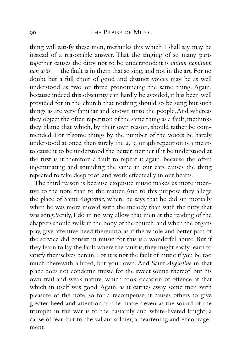thing will satisfy these men, methinks this which I shall say may be instead of a reasonable answer. That the singing of so many parts together causes the ditty not to be understood: it is *vitium hominum non artis* — the fault is in them that so sing, and not in the art. For no doubt but a full choir of good and distinct voices may be as well understood as two or three pronouncing the same thing. Again, because indeed this obscurity can hardly be avoided, it has been well provided for in the church that nothing should so be sung but such things as are very familiar and known unto the people.And whereas they object the often repetition of the same thing as a fault, methinks they blame that which, by their own reason, should rather be commended. For if some things by the number of the voices be hardly understood at once, then surely the 2, 3, or 4th repetition is a means to cause it to be understood the better; neither if it be understood at the first is it therefore a fault to repeat it again, because the often ingeminating and sounding the same in our ears causes the thing repeated to take deep root, and work effectually in our hearts.

The third reason is because exquisite music makes us more intentive to the note than to the matter. And to this purpose they allege the place of Saint *Augustine*, where he says that he did sin mortally when he was more moved with the melody than with the ditty that was song.Verily, I do in no way allow that men at the reading of the chapters should walk in the body of the church, and when the organs play, give attentive heed thereunto, as if the whole and better part of the service did consist in music: for this is a wonderful abuse. But if they learn to lay the fault where the fault is, they might easily learn to satisfy themselves herein. For it is not the fault of music if you be too much therewith allured, but your own. And Saint *Augustine* in that place does not condemn music for the sweet sound thereof, but his own frail and weak nature, which took occasion of offence at that which in itself was good. Again, as it carries away some men with pleasure of the note, so for a recompense, it causes others to give greater heed and attention to the matter: even as the sound of the trumpet in the war is to the dastardly and white-livered knight, a cause of fear; but to the valiant soldier, a heartening and encouragement.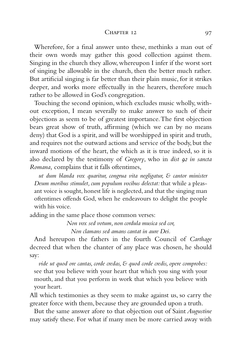#### CHAPTER 12 97

Wherefore, for a final answer unto these, methinks a man out of their own words may gather this good collection against them. Singing in the church they allow, whereupon I infer if the worst sort of singing be allowable in the church, then the better much rather. But artificial singing is far better than their plain music, for it strikes deeper, and works more effectually in the hearers, therefore much rather to be allowed in God's congregation.

Touching the second opinion, which excludes music wholly, without exception, I mean severally to make answer to such of their objections as seem to be of greatest importance.The first objection bears great show of truth, affirming (which we can by no means deny) that God is a spirit, and will be worshipped in spirit and truth, and requires not the outward actions and service of the body, but the inward motions of the heart, the which as it is true indeed, so it is also declared by the testimony of *Gregory*, who in *dist 92 in sancta Romana,* complains that it falls oftentimes,

*ut dum blanda vox quaritur, congrua vita negligatur, & cantor minister Deum moribus stimulet, cum populum vocibus delectat:* that while a pleasant voice is sought, honest life is neglected, and that the singing man oftentimes offends God, when he endeavours to delight the people with his voice.

adding in the same place those common verses:

*Non vox sed votum, non cordula musica sed cor,*

*Non clamans sed amans cantat in aure Dei.*

And hereupon the fathers in the fourth Council of *Carthage* decreed that when the chanter of any place was chosen, he should say:

*vide ut quod ore cantas, corde credas, & quod corde credis, opere comprobes:* see that you believe with your heart that which you sing with your mouth, and that you perform in work that which you believe with your heart.

All which testimonies as they seem to make against us, so carry the greater force with them, because they are grounded upon a truth.

But the same answer afore to that objection out of Saint *Augustine* may satisfy these. For what if many men be more carried away with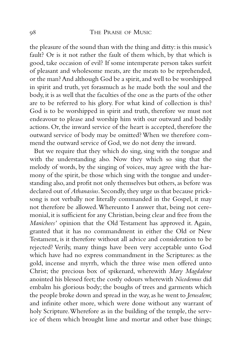the pleasure of the sound than with the thing and ditty: is this music's fault? Or is it not rather the fault of them which, by that which is good, take occasion of evil? If some intemperate person takes surfeit of pleasant and wholesome meats, are the meats to be reprehended, or the man? And although God be a spirit,and well to be worshipped in spirit and truth, yet forasmuch as he made both the soul and the body, it is as well that the faculties of the one as the parts of the other are to be referred to his glory. For what kind of collection is this? God is to be worshipped in spirit and truth, therefore we must not endeavour to please and worship him with our outward and bodily actions. Or, the inward service of the heart is accepted, therefore the outward service of body may be omitted? When we therefore commend the outward service of God, we do not deny the inward.

But we require that they which do sing, sing with the tongue and with the understanding also. Now they which so sing that the melody of words, by the singing of voices, may agree with the harmony of the spirit, be those which sing with the tongue and understanding also, and profit not only themselves but others, as before was declared out of *Athanasius*. Secondly, they urge us that because pricksong is not verbally nor literally commanded in the Gospel, it may not therefore be allowed.Whereunto I answer that, being not ceremonial, it is sufficient for any Christian, being clear and free from the *Manichees'* opinion that the Old Testament has approved it. Again, granted that it has no commandment in either the Old or New Testament, is it therefore without all advice and consideration to be rejected? Verily, many things have been very acceptable unto God which have had no express commandment in the Scriptures: as the gold, incense and myrrh, which the three wise men offered unto Christ; the precious box of spikenard, wherewith *Mary Magdalene* anointed his blessed feet; the costly odours wherewith *Nicodemus* did embalm his glorious body; the boughs of trees and garments which the people broke down and spread in the way,as he went to *Jerusalem*; and infinite other more, which were done without any warrant of holy Scripture.Wherefore as in the building of the temple, the service of them which brought lime and mortar and other base things;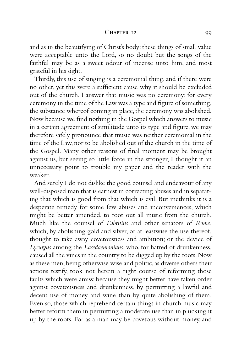#### CHAPTER 12 99

and as in the beautifying of Christ's body: these things of small value were acceptable unto the Lord, so no doubt but the songs of the faithful may be as a sweet odour of incense unto him, and most grateful in his sight.

Thirdly, this use of singing is a ceremonial thing, and if there were no other, yet this were a sufficient cause why it should be excluded out of the church. I answer that music was no ceremony: for every ceremony in the time of the Law was a type and figure of something, the substance whereof coming in place, the ceremony was abolished. Now because we find nothing in the Gospel which answers to music in a certain agreement of similitude unto its type and figure, we may therefore safely pronounce that music was neither ceremonial in the time of the Law, nor to be abolished out of the church in the time of the Gospel. Many other reasons of final moment may be brought against us, but seeing so little force in the stronger, I thought it an unnecessary point to trouble my paper and the reader with the weaker.

And surely I do not dislike the good counsel and endeavour of any well-disposed man that is earnest in correcting abuses and in separating that which is good from that which is evil. But methinks it is a desperate remedy for some few abuses and inconveniences, which might be better amended, to root out all music from the church. Much like the counsel of *Fabritius* and other senators of *Rome*, which, by abolishing gold and silver, or at leastwise the use thereof, thought to take away covetousness and ambition; or the device of *Lycurgus* among the *Lacedaemonians*, who, for hatred of drunkenness, caused all the vines in the country to be digged up by the roots.Now as these men, being otherwise wise and politic, as diverse others their actions testify, took not herein a right course of reforming those faults which were amiss; because they might better have taken order against covetousness and drunkenness, by permitting a lawful and decent use of money and wine than by quite abolishing of them. Even so, those which reprehend certain things in church music may better reform them in permitting a moderate use than in plucking it up by the roots. For as a man may be covetous without money, and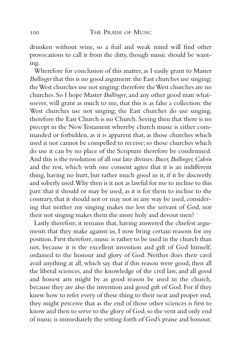drunken without wine, so a frail and weak mind will find other provocations to call it from the ditty, though music should be wanting.

Wherefore for conclusion of this matter, as I easily grant to Master *Bullinger* that this is no good argument: the East churches use singing; the West churches use not singing: therefore the West churches are no churches. So I hope Master *Bullinger*, and any other good man whatsoever, will grant as much to me, that this is as false a collection: the West churches use not singing; the East churches do use singing, therefore the East Church is no Church. Seeing then that there is no precept in the New Testament whereby church music is either commanded or forbidden, as it is apparent that, as those churches which used it not cannot be compelled to receive; so those churches which do use it can by no place of the Scripture therefore be condemned. And this is the resolution of all our late divines:*Bucer,Bullinger,Calvin* and the rest, which with one consent agree that it is an indifferent thing, having no hurt, but rather much good in it, if it be discreetly and soberly used.Why then is it not as lawful for me to incline to this part: that it should or may be used, as it is for them to incline to the contrary, that it should not or may not in any way be used, considering that neither my singing makes me less the servant of God, nor their not singing makes them the more holy and devout men?

Lastly therefore, it remains that, having answered the chiefest arguments that they make against us, I now bring certain reasons for my position. First therefore, music is rather to be used in the church than not, because it is the excellent invention and gift of God himself, ordained to the honour and glory of God. Neither does their cavil avail anything at all, which say that if this reason were good, then all the liberal sciences, and the knowledge of the civil law, and all good and honest arts might by as good reason be used in the church, because they are also the invention and good gift of God. For if they knew how to refer every of these thing to their neat and proper end, they might perceive that as the end of those other sciences is first to know and then to serve to the glory of God,so the vent and only end of music is immediately the setting forth of God's praise and honour.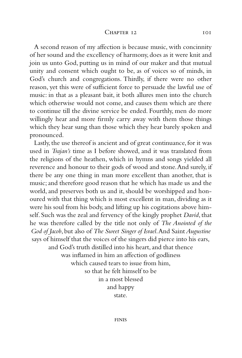#### CHAPTER 12 101

A second reason of my affection is because music, with concinnity of her sound and the excellency of harmony, does as it were knit and join us unto God, putting us in mind of our maker and that mutual unity and consent which ought to be, as of voices so of minds, in God's church and congregations. Thirdly, if there were no other reason, yet this were of sufficient force to persuade the lawful use of music: in that as a pleasant bait, it both allures men into the church which otherwise would not come, and causes them which are there to continue till the divine service be ended. Fourthly, men do more willingly hear and more firmly carry away with them those things which they hear sung than those which they hear barely spoken and pronounced.

Lastly, the use thereof is ancient and of great continuance, for it was used in *Trajan's* time as I before showed, and it was translated from the religions of the heathen, which in hymns and songs yielded all reverence and honour to their gods of wood and stone.And surely, if there be any one thing in man more excellent than another, that is music; and therefore good reason that he which has made us and the world, and preserves both us and it, should be worshipped and honoured with that thing which is most excellent in man, dividing as it were his soul from his body, and lifting up his cogitations above himself. Such was the zeal and fervency of the kingly prophet *David*, that he was therefore called by the title not only of *The Anointed of the God of Jacob*, but also of *The Sweet Singer of Israel*.And Saint*Augustine* says of himself that the voices of the singers did pierce into his ears, and God's truth distilled into his heart, and that thence was inflamed in him an affection of godliness which caused tears to issue from him, so that he felt himself to be in a most blessed and happy

state.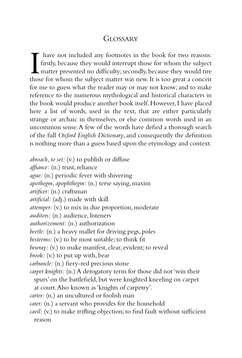# **GLOSSARY**

I have not included any footnotes in the book for two reasons:<br>firstly, because they would interrupt those for whom the subject<br>matter presented no difficulty; secondly, because they would tire<br>those for whom the subject m have not included any footnotes in the book for two reasons: firstly, because they would interrupt those for whom the subject matter presented no difficulty; secondly, because they would tire for me to guess what the reader may or may not know; and to make reference to the numerous mythological and historical characters in the book would produce another book itself. However, I have placed here a list of words, used in the text, that are either particularly strange or archaic in themselves, or else common words used in an uncommon sense.A few of the words have defied a thorough search of the full *Oxford English Dictionary*, and consequently the definition is nothing more than a guess based upon the etymology and context.

*abroach, to set:* (v.) to publish or diffuse *affiance:* (n.) trust, reliance *ague:* (n.) periodic fever with shivering *apothegm, apophthegm:* (n.) terse saying, maxim *artificer:* (n.) craftsman *artificial:* (adj.) made with skill *attemper:* (v.) to mix in due proportion, moderate *auditors:* (n.) audience, listeners *authorizement:* (n.) authorization *beetle:* (n.) a heavy mallet for driving pegs, poles *besteems:* (v.) to be most suitable; to think fit *bewray:* (v.) to make manifest, clear, evident; to reveal *brook:* (v.) to put up with, bear *carbuncle:* (n.) fiery-red precious stone *carpet knights:* (n.) A derogatory term for those did not 'win their spurs' on the battlefield, but were knighted kneeling on carpet at court.Also known as 'knights of carpetry'. *carter:* (n.) an uncultured or foolish man *cater:* (n.) a servant who provides for the household *cavil:* (v.) to make trifling objection; to find fault without sufficient reason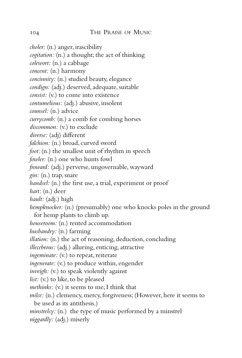*choler:* (n.) anger, irascibility

*cogitation:* (n.) a thought; the act of thinking

*colewort:* (n.) a cabbage

*concent:* (n.) harmony

*concinnity:* (n.) studied beauty, elegance

*condign:* (adj.) deserved, adequate, suitable

*consist:* (v.) to come into existence

*contumelious:* (adj.) abusive, insolent

*counsel:* (n.) advice

*currycomb:* (n.) a comb for combing horses

*discommon:* (v.) to exclude

*diverse:* (adj) different

*falchion:* (n.) broad, curved sword

*foot:* (n.) the smallest unit of rhythm in speech

*fowler:* (n.) one who hunts fowl

*froward:* (adj.) perverse, ungovernable, wayward

*gin:* (n.) trap, snare

*handsel:* (n.) the first use, a trial, experiment or proof

*hart:* (n.) deer

*hault:* (adj.) high

*hempknocker:* (n.) (presumably) one who knocks poles in the ground for hemp plants to climb up.

*houseroom:* (n.) rented accommodation

*husbandry:* (n.) farming

*illation:* (n.) the act of reasoning, deduction, concluding

*illecebrous:* (adj.) alluring, enticing, attractive

*ingeminate:* (v.) to repeat, reiterate

*ingenerate:* (v.) to produce within, engender

*inveigh:* (v.) to speak violently against

*list:* (v.) to like, to be pleased

*methinks:* (v.) it seems to me; I think that

*milce:* (n.) clemency, mercy, forgiveness; (However, here it seems to be used as its antithesis.)

*minstrelsy:* (n.) the type of music performed by a minstrel *niggardly:* (adj.) miserly